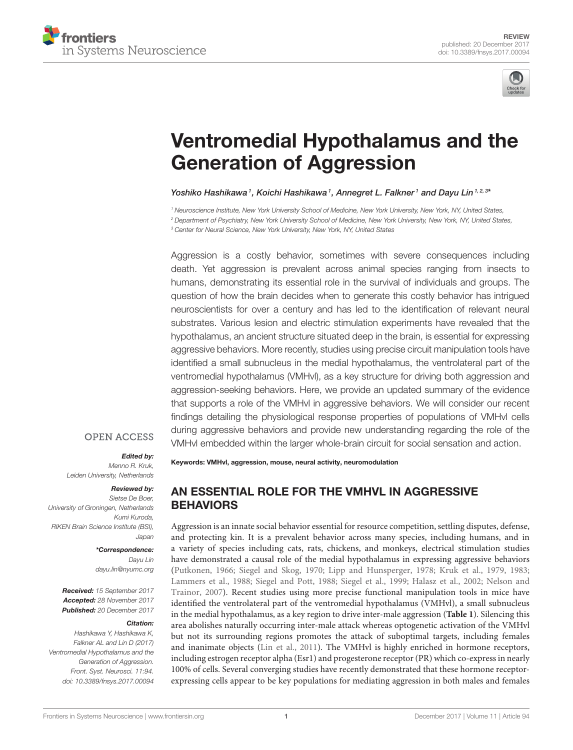



# [Ventromedial Hypothalamus and the](https://www.frontiersin.org/articles/10.3389/fnsys.2017.00094/full) Generation of Aggression

[Yoshiko Hashikawa](http://loop.frontiersin.org/people/506411/overview)1, [Koichi Hashikawa](http://loop.frontiersin.org/people/351225/overview)1, Annegret L. Falkner1 and [Dayu Lin](http://loop.frontiersin.org/people/133033/overview)1,2,3\*

*<sup>1</sup> Neuroscience Institute, New York University School of Medicine, New York University, New York, NY, United States, <sup>2</sup> Department of Psychiatry, New York University School of Medicine, New York University, New York, NY, United States, <sup>3</sup> Center for Neural Science, New York University, New York, NY, United States*

Aggression is a costly behavior, sometimes with severe consequences including death. Yet aggression is prevalent across animal species ranging from insects to humans, demonstrating its essential role in the survival of individuals and groups. The question of how the brain decides when to generate this costly behavior has intrigued neuroscientists for over a century and has led to the identification of relevant neural substrates. Various lesion and electric stimulation experiments have revealed that the hypothalamus, an ancient structure situated deep in the brain, is essential for expressing aggressive behaviors. More recently, studies using precise circuit manipulation tools have identified a small subnucleus in the medial hypothalamus, the ventrolateral part of the ventromedial hypothalamus (VMHvl), as a key structure for driving both aggression and aggression-seeking behaviors. Here, we provide an updated summary of the evidence that supports a role of the VMHvl in aggressive behaviors. We will consider our recent findings detailing the physiological response properties of populations of VMHvl cells during aggressive behaviors and provide new understanding regarding the role of the VMHvl embedded within the larger whole-brain circuit for social sensation and action.

#### **OPEN ACCESS**

Edited by: *Menno R. Kruk, Leiden University, Netherlands*

#### Reviewed by:

*Sietse De Boer, University of Groningen, Netherlands Kumi Kuroda, RIKEN Brain Science Institute (BSI), Japan*

#### \*Correspondence:

*Dayu Lin [dayu.lin@nyumc.org](mailto:dayu.lin@nyumc.org)*

Received: *15 September 2017* Accepted: *28 November 2017* Published: *20 December 2017*

#### Citation:

*Hashikawa Y, Hashikawa K, Falkner AL and Lin D (2017) Ventromedial Hypothalamus and the Generation of Aggression. Front. Syst. Neurosci. 11:94. doi: [10.3389/fnsys.2017.00094](https://doi.org/10.3389/fnsys.2017.00094)* Keywords: VMHvl, aggression, mouse, neural activity, neuromodulation

# AN ESSENTIAL ROLE FOR THE VMHVL IN AGGRESSIVE BEHAVIORS

Aggression is an innate social behavior essential for resource competition, settling disputes, defense, and protecting kin. It is a prevalent behavior across many species, including humans, and in a variety of species including cats, rats, chickens, and monkeys, electrical stimulation studies have demonstrated a causal role of the medial hypothalamus in expressing aggressive behaviors [\(Putkonen, 1966;](#page-11-0) [Siegel and Skog, 1970;](#page-12-0) [Lipp and Hunsperger, 1978;](#page-10-0) [Kruk et al., 1979,](#page-10-1) [1983;](#page-10-2) [Lammers et al., 1988;](#page-10-3) [Siegel and Pott, 1988;](#page-12-1) [Siegel et al., 1999;](#page-12-2) [Halasz et al., 2002;](#page-10-4) Nelson and Trainor, [2007\)](#page-11-1). Recent studies using more precise functional manipulation tools in mice have identified the ventrolateral part of the ventromedial hypothalamus (VMHvl), a small subnucleus in the medial hypothalamus, as a key region to drive inter-male aggression (**[Table 1](#page-2-0)**). Silencing this area abolishes naturally occurring inter-male attack whereas optogenetic activation of the VMHvl but not its surrounding regions promotes the attack of suboptimal targets, including females and inanimate objects [\(Lin et al., 2011\)](#page-10-5). The VMHvl is highly enriched in hormone receptors, including estrogen receptor alpha (Esr1) and progesterone receptor (PR) which co-express in nearly 100% of cells. Several converging studies have recently demonstrated that these hormone receptorexpressing cells appear to be key populations for mediating aggression in both males and females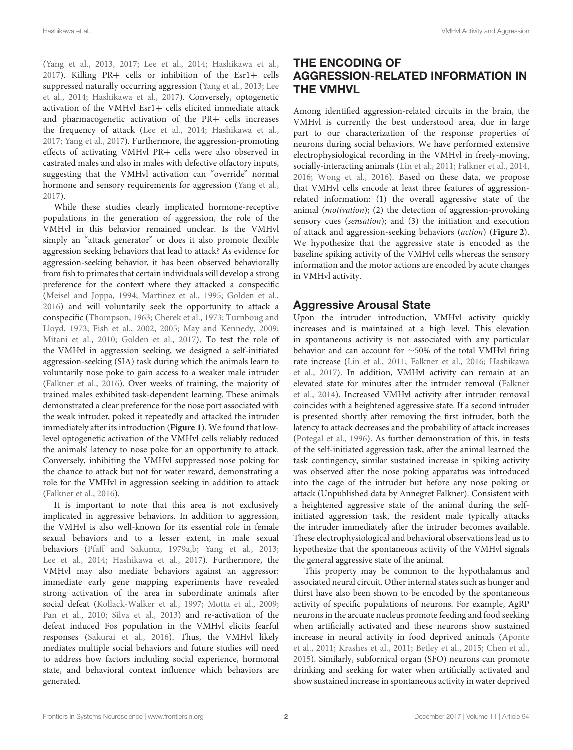[\(Yang et al., 2013,](#page-12-3) [2017;](#page-12-4) [Lee et al., 2014;](#page-10-6) [Hashikawa et al.,](#page-10-7) [2017\)](#page-10-7). Killing PR+ cells or inhibition of the Esr1+ cells suppressed naturally occurring aggression [\(Yang et al., 2013;](#page-12-3) Lee et al., [2014;](#page-10-6) [Hashikawa et al., 2017\)](#page-10-7). Conversely, optogenetic activation of the VMHvl Esr1+ cells elicited immediate attack and pharmacogenetic activation of the PR+ cells increases the frequency of attack [\(Lee et al., 2014;](#page-10-6) [Hashikawa et al.,](#page-10-7) [2017;](#page-10-7) [Yang et al., 2017\)](#page-12-4). Furthermore, the aggression-promoting effects of activating VMHvl PR+ cells were also observed in castrated males and also in males with defective olfactory inputs, suggesting that the VMHvl activation can "override" normal hormone and sensory requirements for aggression [\(Yang et al.,](#page-12-4) [2017\)](#page-12-4).

While these studies clearly implicated hormone-receptive populations in the generation of aggression, the role of the VMHvl in this behavior remained unclear. Is the VMHvl simply an "attack generator" or does it also promote flexible aggression seeking behaviors that lead to attack? As evidence for aggression-seeking behavior, it has been observed behaviorally from fish to primates that certain individuals will develop a strong preference for the context where they attacked a conspecific [\(Meisel and Joppa, 1994;](#page-11-2) [Martinez et al., 1995;](#page-11-3) [Golden et al.,](#page-10-8) [2016\)](#page-10-8) and will voluntarily seek the opportunity to attack a conspecific [\(Thompson, 1963;](#page-12-5) [Cherek et al., 1973;](#page-9-0) Turnboug and Lloyd, [1973;](#page-12-6) [Fish et al., 2002,](#page-9-1) [2005;](#page-9-2) [May and Kennedy, 2009;](#page-11-4) [Mitani et al., 2010;](#page-11-5) [Golden et al., 2017\)](#page-10-9). To test the role of the VMHvl in aggression seeking, we designed a self-initiated aggression-seeking (SIA) task during which the animals learn to voluntarily nose poke to gain access to a weaker male intruder [\(Falkner et al., 2016\)](#page-9-3). Over weeks of training, the majority of trained males exhibited task-dependent learning. These animals demonstrated a clear preference for the nose port associated with the weak intruder, poked it repeatedly and attacked the intruder immediately after its introduction (**[Figure 1](#page-2-1)**). We found that lowlevel optogenetic activation of the VMHvl cells reliably reduced the animals' latency to nose poke for an opportunity to attack. Conversely, inhibiting the VMHvl suppressed nose poking for the chance to attack but not for water reward, demonstrating a role for the VMHvl in aggression seeking in addition to attack [\(Falkner et al., 2016\)](#page-9-3).

It is important to note that this area is not exclusively implicated in aggressive behaviors. In addition to aggression, the VMHvl is also well-known for its essential role in female sexual behaviors and to a lesser extent, in male sexual behaviors [\(Pfaff and Sakuma, 1979a,](#page-11-6)[b;](#page-11-7) [Yang et al., 2013;](#page-12-3) [Lee et al., 2014;](#page-10-6) [Hashikawa et al., 2017\)](#page-10-7). Furthermore, the VMHvl may also mediate behaviors against an aggressor: immediate early gene mapping experiments have revealed strong activation of the area in subordinate animals after social defeat [\(Kollack-Walker et al., 1997;](#page-10-10) [Motta et al., 2009;](#page-11-8) [Pan et al., 2010;](#page-11-9) [Silva et al., 2013\)](#page-12-7) and re-activation of the defeat induced Fos population in the VMHvl elicits fearful responses [\(Sakurai et al., 2016\)](#page-11-10). Thus, the VMHvl likely mediates multiple social behaviors and future studies will need to address how factors including social experience, hormonal state, and behavioral context influence which behaviors are generated.

## THE ENCODING OF AGGRESSION-RELATED INFORMATION IN THE VMHVL

Among identified aggression-related circuits in the brain, the VMHvl is currently the best understood area, due in large part to our characterization of the response properties of neurons during social behaviors. We have performed extensive electrophysiological recording in the VMHvl in freely-moving, socially-interacting animals [\(Lin et al., 2011;](#page-10-5) [Falkner et al., 2014,](#page-9-4) [2016;](#page-9-3) [Wong et al., 2016\)](#page-12-8). Based on these data, we propose that VMHvl cells encode at least three features of aggressionrelated information: (1) the overall aggressive state of the animal (motivation); (2) the detection of aggression-provoking sensory cues (sensation); and (3) the initiation and execution of attack and aggression-seeking behaviors (action) (**[Figure 2](#page-2-2)**). We hypothesize that the aggressive state is encoded as the baseline spiking activity of the VMHvl cells whereas the sensory information and the motor actions are encoded by acute changes in VMHvl activity.

## Aggressive Arousal State

Upon the intruder introduction, VMHvl activity quickly increases and is maintained at a high level. This elevation in spontaneous activity is not associated with any particular behavior and can account for ∼50% of the total VMHvl firing rate increase [\(Lin et al., 2011;](#page-10-5) [Falkner et al., 2016;](#page-9-3) Hashikawa et al., [2017\)](#page-10-7). In addition, VMHvl activity can remain at an elevated state for minutes after the intruder removal (Falkner et al., [2014\)](#page-9-4). Increased VMHvl activity after intruder removal coincides with a heightened aggressive state. If a second intruder is presented shortly after removing the first intruder, both the latency to attack decreases and the probability of attack increases [\(Potegal et al., 1996\)](#page-11-11). As further demonstration of this, in tests of the self-initiated aggression task, after the animal learned the task contingency, similar sustained increase in spiking activity was observed after the nose poking apparatus was introduced into the cage of the intruder but before any nose poking or attack (Unpublished data by Annegret Falkner). Consistent with a heightened aggressive state of the animal during the selfinitiated aggression task, the resident male typically attacks the intruder immediately after the intruder becomes available. These electrophysiological and behavioral observations lead us to hypothesize that the spontaneous activity of the VMHvl signals the general aggressive state of the animal.

This property may be common to the hypothalamus and associated neural circuit. Other internal states such as hunger and thirst have also been shown to be encoded by the spontaneous activity of specific populations of neurons. For example, AgRP neurons in the arcuate nucleus promote feeding and food seeking when artificially activated and these neurons show sustained increase in neural activity in food deprived animals (Aponte et al., [2011;](#page-8-0) [Krashes et al., 2011;](#page-10-11) [Betley et al., 2015;](#page-9-5) [Chen et al.,](#page-9-6) [2015\)](#page-9-6). Similarly, subfornical organ (SFO) neurons can promote drinking and seeking for water when artificially activated and show sustained increase in spontaneous activity in water deprived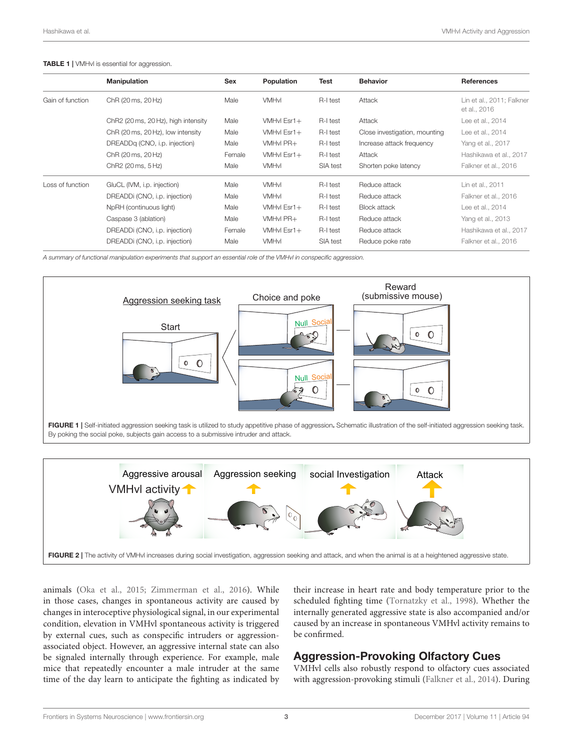#### <span id="page-2-0"></span>TABLE 1 | VMHvl is essential for aggression.

|                  | <b>Manipulation</b>                 | Sex    | <b>Population</b> | <b>Test</b> | <b>Behavior</b>               | <b>References</b>                         |
|------------------|-------------------------------------|--------|-------------------|-------------|-------------------------------|-------------------------------------------|
| Gain of function | ChR (20 ms, 20 Hz)                  | Male   | <b>VMHvl</b>      | R-I test    | Attack                        | Lin et al., 2011; Falkner<br>et al., 2016 |
|                  | ChR2 (20 ms, 20 Hz), high intensity | Male   | VMHvl Esr1+       | R-I test    | Attack                        | Lee et al., 2014                          |
|                  | ChR (20 ms, 20 Hz), low intensity   | Male   | VMHvl Esr1+       | R-I test    | Close investigation, mounting | Lee et al., 2014                          |
|                  | DREADDq (CNO, i.p. injection)       | Male   | VMHvI PR+         | R-I test    | Increase attack frequency     | Yang et al., 2017                         |
|                  | ChR (20 ms, 20 Hz)                  | Female | VMHvl Esr1+       | R-I test    | Attack                        | Hashikawa et al., 2017                    |
|                  | ChR2 (20 ms, 5 Hz)                  | Male   | <b>VMHvI</b>      | SIA test    | Shorten poke latency          | Falkner et al., 2016                      |
| Loss of function | GluCL (IVM, i.p. injection)         | Male   | <b>VMHvI</b>      | R-I test    | Reduce attack                 | Lin et al., 2011                          |
|                  | DREADDi (CNO, i.p. injection)       | Male   | <b>VMHvI</b>      | R-I test    | Reduce attack                 | Falkner et al., 2016                      |
|                  | NpRH (continuous light)             | Male   | VMHvl Esr1+       | R-I test    | <b>Block attack</b>           | Lee et al., 2014                          |
|                  | Caspase 3 (ablation)                | Male   | VMHvI PR+         | R-I test    | Reduce attack                 | Yang et al., 2013                         |
|                  | DREADDi (CNO, i.p. injection)       | Female | VMHvl Esr1+       | R-I test    | Reduce attack                 | Hashikawa et al., 2017                    |
|                  | DREADDi (CNO, i.p. injection)       | Male   | <b>VMHvl</b>      | SIA test    | Reduce poke rate              | Falkner et al., 2016                      |
|                  |                                     |        |                   |             |                               |                                           |

*A summary of functional manipulation experiments that support an essential role of the VMHvl in conspecific aggression.*



<span id="page-2-1"></span>

<span id="page-2-2"></span>animals [\(Oka et al., 2015;](#page-11-12) [Zimmerman et al., 2016\)](#page-12-9). While in those cases, changes in spontaneous activity are caused by changes in interoceptive physiological signal, in our experimental condition, elevation in VMHvl spontaneous activity is triggered by external cues, such as conspecific intruders or aggressionassociated object. However, an aggressive internal state can also be signaled internally through experience. For example, male mice that repeatedly encounter a male intruder at the same time of the day learn to anticipate the fighting as indicated by their increase in heart rate and body temperature prior to the scheduled fighting time [\(Tornatzky et al., 1998\)](#page-12-10). Whether the internally generated aggressive state is also accompanied and/or caused by an increase in spontaneous VMHvl activity remains to be confirmed.

#### Aggression-Provoking Olfactory Cues

VMHvl cells also robustly respond to olfactory cues associated with aggression-provoking stimuli [\(Falkner et al., 2014\)](#page-9-4). During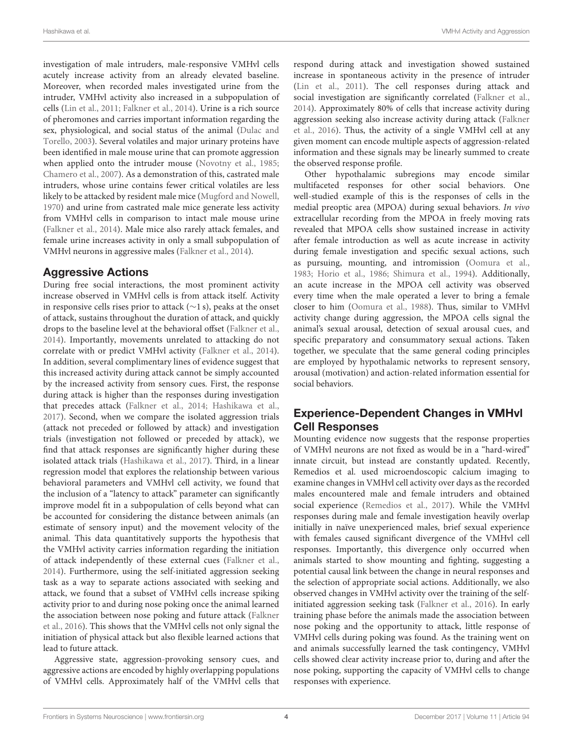investigation of male intruders, male-responsive VMHvl cells acutely increase activity from an already elevated baseline. Moreover, when recorded males investigated urine from the intruder, VMHvl activity also increased in a subpopulation of cells [\(Lin et al., 2011;](#page-10-5) [Falkner et al., 2014\)](#page-9-4). Urine is a rich source of pheromones and carries important information regarding the sex, physiological, and social status of the animal (Dulac and Torello, [2003\)](#page-9-7). Several volatiles and major urinary proteins have been identified in male mouse urine that can promote aggression when applied onto the intruder mouse [\(Novotny et al., 1985;](#page-11-13) [Chamero et al., 2007\)](#page-9-8). As a demonstration of this, castrated male intruders, whose urine contains fewer critical volatiles are less likely to be attacked by resident male mice [\(Mugford and Nowell,](#page-11-14) [1970\)](#page-11-14) and urine from castrated male mice generate less activity from VMHvl cells in comparison to intact male mouse urine [\(Falkner et al., 2014\)](#page-9-4). Male mice also rarely attack females, and female urine increases activity in only a small subpopulation of VMHvl neurons in aggressive males [\(Falkner et al., 2014\)](#page-9-4).

## Aggressive Actions

During free social interactions, the most prominent activity increase observed in VMHvl cells is from attack itself. Activity in responsive cells rises prior to attack (∼1 s), peaks at the onset of attack, sustains throughout the duration of attack, and quickly drops to the baseline level at the behavioral offset [\(Falkner et al.,](#page-9-4) [2014\)](#page-9-4). Importantly, movements unrelated to attacking do not correlate with or predict VMHvl activity [\(Falkner et al., 2014\)](#page-9-4). In addition, several complimentary lines of evidence suggest that this increased activity during attack cannot be simply accounted by the increased activity from sensory cues. First, the response during attack is higher than the responses during investigation that precedes attack [\(Falkner et al., 2014;](#page-9-4) [Hashikawa et al.,](#page-10-7) [2017\)](#page-10-7). Second, when we compare the isolated aggression trials (attack not preceded or followed by attack) and investigation trials (investigation not followed or preceded by attack), we find that attack responses are significantly higher during these isolated attack trials [\(Hashikawa et al., 2017\)](#page-10-7). Third, in a linear regression model that explores the relationship between various behavioral parameters and VMHvl cell activity, we found that the inclusion of a "latency to attack" parameter can significantly improve model fit in a subpopulation of cells beyond what can be accounted for considering the distance between animals (an estimate of sensory input) and the movement velocity of the animal. This data quantitatively supports the hypothesis that the VMHvl activity carries information regarding the initiation of attack independently of these external cues [\(Falkner et al.,](#page-9-4) [2014\)](#page-9-4). Furthermore, using the self-initiated aggression seeking task as a way to separate actions associated with seeking and attack, we found that a subset of VMHvl cells increase spiking activity prior to and during nose poking once the animal learned the association between nose poking and future attack (Falkner et al., [2016\)](#page-9-3). This shows that the VMHvl cells not only signal the initiation of physical attack but also flexible learned actions that lead to future attack.

Aggressive state, aggression-provoking sensory cues, and aggressive actions are encoded by highly overlapping populations of VMHvl cells. Approximately half of the VMHvl cells that respond during attack and investigation showed sustained increase in spontaneous activity in the presence of intruder [\(Lin et al., 2011\)](#page-10-5). The cell responses during attack and social investigation are significantly correlated [\(Falkner et al.,](#page-9-4) [2014\)](#page-9-4). Approximately 80% of cells that increase activity during aggression seeking also increase activity during attack (Falkner et al., [2016\)](#page-9-3). Thus, the activity of a single VMHvl cell at any given moment can encode multiple aspects of aggression-related information and these signals may be linearly summed to create the observed response profile.

Other hypothalamic subregions may encode similar multifaceted responses for other social behaviors. One well-studied example of this is the responses of cells in the medial preoptic area (MPOA) during sexual behaviors. In vivo extracellular recording from the MPOA in freely moving rats revealed that MPOA cells show sustained increase in activity after female introduction as well as acute increase in activity during female investigation and specific sexual actions, such as pursuing, mounting, and intromission [\(Oomura et al.,](#page-11-15) [1983;](#page-11-15) [Horio et al., 1986;](#page-10-12) [Shimura et al., 1994\)](#page-11-16). Additionally, an acute increase in the MPOA cell activity was observed every time when the male operated a lever to bring a female closer to him [\(Oomura et al., 1988\)](#page-11-17). Thus, similar to VMHvl activity change during aggression, the MPOA cells signal the animal's sexual arousal, detection of sexual arousal cues, and specific preparatory and consummatory sexual actions. Taken together, we speculate that the same general coding principles are employed by hypothalamic networks to represent sensory, arousal (motivation) and action-related information essential for social behaviors.

# Experience-Dependent Changes in VMHvl Cell Responses

Mounting evidence now suggests that the response properties of VMHvl neurons are not fixed as would be in a "hard-wired" innate circuit, but instead are constantly updated. Recently, Remedios et al. used microendoscopic calcium imaging to examine changes in VMHvl cell activity over days as the recorded males encountered male and female intruders and obtained social experience [\(Remedios et al., 2017\)](#page-11-18). While the VMHvl responses during male and female investigation heavily overlap initially in naïve unexperienced males, brief sexual experience with females caused significant divergence of the VMHvl cell responses. Importantly, this divergence only occurred when animals started to show mounting and fighting, suggesting a potential causal link between the change in neural responses and the selection of appropriate social actions. Additionally, we also observed changes in VMHvl activity over the training of the selfinitiated aggression seeking task [\(Falkner et al., 2016\)](#page-9-3). In early training phase before the animals made the association between nose poking and the opportunity to attack, little response of VMHvl cells during poking was found. As the training went on and animals successfully learned the task contingency, VMHvl cells showed clear activity increase prior to, during and after the nose poking, supporting the capacity of VMHvl cells to change responses with experience.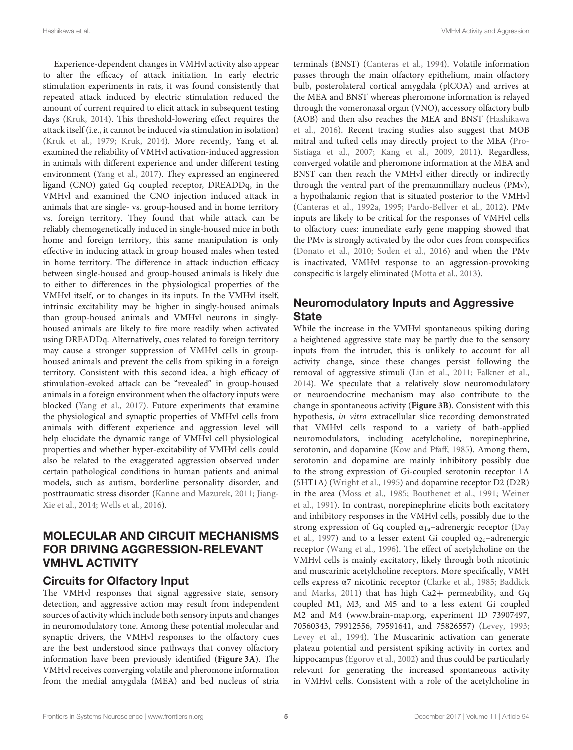Hashikawa et al. VMHvl Activity and Aggression

Experience-dependent changes in VMHvl activity also appear to alter the efficacy of attack initiation. In early electric stimulation experiments in rats, it was found consistently that repeated attack induced by electric stimulation reduced the amount of current required to elicit attack in subsequent testing days [\(Kruk, 2014\)](#page-10-13). This threshold-lowering effect requires the attack itself (i.e., it cannot be induced via stimulation in isolation) [\(Kruk et al., 1979;](#page-10-1) [Kruk, 2014\)](#page-10-13). More recently, Yang et al. examined the reliability of VMHvl activation-induced aggression in animals with different experience and under different testing environment [\(Yang et al., 2017\)](#page-12-4). They expressed an engineered ligand (CNO) gated Gq coupled receptor, DREADDq, in the VMHvl and examined the CNO injection induced attack in animals that are single- vs. group-housed and in home territory vs. foreign territory. They found that while attack can be reliably chemogenetically induced in single-housed mice in both home and foreign territory, this same manipulation is only effective in inducing attack in group housed males when tested in home territory. The difference in attack induction efficacy between single-housed and group-housed animals is likely due to either to differences in the physiological properties of the VMHvl itself, or to changes in its inputs. In the VMHvl itself, intrinsic excitability may be higher in singly-housed animals than group-housed animals and VMHvl neurons in singlyhoused animals are likely to fire more readily when activated using DREADDq. Alternatively, cues related to foreign territory may cause a stronger suppression of VMHvl cells in grouphoused animals and prevent the cells from spiking in a foreign territory. Consistent with this second idea, a high efficacy of stimulation-evoked attack can be "revealed" in group-housed animals in a foreign environment when the olfactory inputs were blocked [\(Yang et al., 2017\)](#page-12-4). Future experiments that examine the physiological and synaptic properties of VMHvl cells from animals with different experience and aggression level will help elucidate the dynamic range of VMHvl cell physiological properties and whether hyper-excitability of VMHvl cells could also be related to the exaggerated aggression observed under certain pathological conditions in human patients and animal models, such as autism, borderline personality disorder, and posttraumatic stress disorder [\(Kanne and Mazurek, 2011;](#page-10-14) Jiang-Xie et al., [2014;](#page-10-15) [Wells et al., 2016\)](#page-12-11).

# MOLECULAR AND CIRCUIT MECHANISMS FOR DRIVING AGGRESSION-RELEVANT VMHVL ACTIVITY

## Circuits for Olfactory Input

The VMHvl responses that signal aggressive state, sensory detection, and aggressive action may result from independent sources of activity which include both sensory inputs and changes in neuromodulatory tone. Among these potential molecular and synaptic drivers, the VMHvl responses to the olfactory cues are the best understood since pathways that convey olfactory information have been previously identified (**[Figure 3A](#page-5-0)**). The VMHvl receives converging volatile and pheromone information from the medial amygdala (MEA) and bed nucleus of stria terminals (BNST) [\(Canteras et al., 1994\)](#page-9-9). Volatile information passes through the main olfactory epithelium, main olfactory bulb, posterolateral cortical amygdala (plCOA) and arrives at the MEA and BNST whereas pheromone information is relayed through the vomeronasal organ (VNO), accessory olfactory bulb (AOB) and then also reaches the MEA and BNST (Hashikawa et al., [2016\)](#page-10-16). Recent tracing studies also suggest that MOB mitral and tufted cells may directly project to the MEA (Pro-Sistiaga et al., [2007;](#page-11-19) [Kang et al., 2009,](#page-10-17) [2011\)](#page-10-18). Regardless, converged volatile and pheromone information at the MEA and BNST can then reach the VMHvl either directly or indirectly through the ventral part of the premammillary nucleus (PMv), a hypothalamic region that is situated posterior to the VMHvl [\(Canteras et al., 1992a,](#page-9-10) [1995;](#page-9-11) [Pardo-Bellver et al., 2012\)](#page-11-20). PMv inputs are likely to be critical for the responses of VMHvl cells to olfactory cues: immediate early gene mapping showed that the PMv is strongly activated by the odor cues from conspecifics [\(Donato et al., 2010;](#page-9-12) [Soden et al., 2016\)](#page-12-12) and when the PMv is inactivated, VMHvl response to an aggression-provoking conspecific is largely eliminated [\(Motta et al., 2013\)](#page-11-21).

# Neuromodulatory Inputs and Aggressive **State**

While the increase in the VMHvl spontaneous spiking during a heightened aggressive state may be partly due to the sensory inputs from the intruder, this is unlikely to account for all activity change, since these changes persist following the removal of aggressive stimuli [\(Lin et al., 2011;](#page-10-5) [Falkner et al.,](#page-9-4) [2014\)](#page-9-4). We speculate that a relatively slow neuromodulatory or neuroendocrine mechanism may also contribute to the change in spontaneous activity (**[Figure 3B](#page-5-0)**). Consistent with this hypothesis, in vitro extracellular slice recording demonstrated that VMHvl cells respond to a variety of bath-applied neuromodulators, including acetylcholine, norepinephrine, serotonin, and dopamine [\(Kow and Pfaff, 1985\)](#page-10-19). Among them, serotonin and dopamine are mainly inhibitory possibly due to the strong expression of Gi-coupled serotonin receptor 1A (5HT1A) [\(Wright et al., 1995\)](#page-12-13) and dopamine receptor D2 (D2R) in the area [\(Moss et al., 1985;](#page-11-22) [Bouthenet et al., 1991;](#page-9-13) Weiner et al., [1991\)](#page-12-14). In contrast, norepinephrine elicits both excitatory and inhibitory responses in the VMHvl cells, possibly due to the strong expression of Gq coupled  $\alpha_{1a}$ -adrenergic receptor (Day et al., [1997\)](#page-9-14) and to a lesser extent Gi coupled  $\alpha_{2c}$ -adrenergic receptor [\(Wang et al., 1996\)](#page-12-15). The effect of acetylcholine on the VMHvl cells is mainly excitatory, likely through both nicotinic and muscarinic acetylcholine receptors. More specifically, VMH cells express α7 nicotinic receptor [\(Clarke et al., 1985;](#page-9-15) Baddick and Marks, [2011\)](#page-9-16) that has high Ca2+ permeability, and Gq coupled M1, M3, and M5 and to a less extent Gi coupled M2 and M4 [\(www.brain-map.org,](www.brain-map.org) experiment ID 73907497, 70560343, 79912556, 79591641, and 75826557) [\(Levey, 1993;](#page-10-20) [Levey et al., 1994\)](#page-10-21). The Muscarinic activation can generate plateau potential and persistent spiking activity in cortex and hippocampus [\(Egorov et al., 2002\)](#page-9-17) and thus could be particularly relevant for generating the increased spontaneous activity in VMHvl cells. Consistent with a role of the acetylcholine in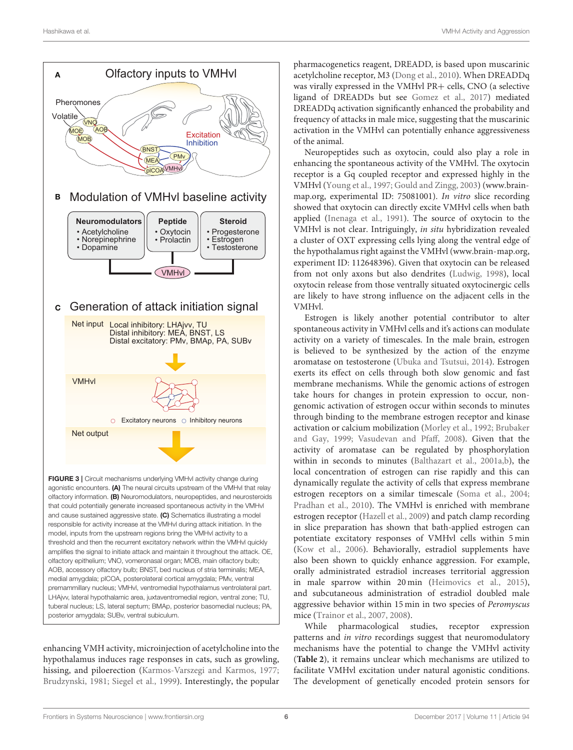

<span id="page-5-0"></span>agonistic encounters. (A) The neural circuits upstream of the VMHvl that relay olfactory information. (B) Neuromodulators, neuropeptides, and neurosteroids that could potentially generate increased spontaneous activity in the VMHvl and cause sustained aggressive state. (C) Schematics illustrating a model responsible for activity increase at the VMHvl during attack initiation. In the model, inputs from the upstream regions bring the VMHvl activity to a threshold and then the recurrent excitatory network within the VMHvl quickly amplifies the signal to initiate attack and maintain it throughout the attack. OE, olfactory epithelium; VNO, vomeronasal organ; MOB, main olfactory bulb; AOB, accessory olfactory bulb; BNST, bed nucleus of stria terminalis; MEA, medial amygdala; plCOA, posterolateral cortical amygdala; PMv, ventral premammillary nucleus; VMHvl, ventromedial hypothalamus ventrolateral part. LHAjvv, lateral hypothalamic area, juxtaventromedial region, ventral zone; TU, tuberal nucleus; LS, lateral septum; BMAp, posterior basomedial nucleus; PA, posterior amygdala; SUBv, ventral subiculum.

enhancing VMH activity, microinjection of acetylcholine into the hypothalamus induces rage responses in cats, such as growling, hissing, and piloerection [\(Karmos-Varszegi and Karmos, 1977;](#page-10-22) [Brudzynski, 1981;](#page-9-18) [Siegel et al., 1999\)](#page-12-2). Interestingly, the popular

pharmacogenetics reagent, DREADD, is based upon muscarinic acetylcholine receptor, M3 [\(Dong et al., 2010\)](#page-9-19). When DREADDq was virally expressed in the VMHvl PR+ cells, CNO (a selective ligand of DREADDs but see [Gomez et al., 2017\)](#page-10-23) mediated DREADDq activation significantly enhanced the probability and frequency of attacks in male mice, suggesting that the muscarinic activation in the VMHvl can potentially enhance aggressiveness of the animal.

Neuropeptides such as oxytocin, could also play a role in enhancing the spontaneous activity of the VMHvl. The oxytocin receptor is a Gq coupled receptor and expressed highly in the VMHvl [\(Young et al., 1997;](#page-12-16) [Gould and Zingg, 2003\)](#page-10-24) [\(www.brain](www.brain-map.org)[map.org,](www.brain-map.org) experimental ID: 75081001). In vitro slice recording showed that oxytocin can directly excite VMHvl cells when bath applied [\(Inenaga et al., 1991\)](#page-10-25). The source of oxytocin to the VMHvl is not clear. Intriguingly, in situ hybridization revealed a cluster of OXT expressing cells lying along the ventral edge of the hypothalamus right against the VMHvl [\(www.brain-map.org,](www.brain-map.org) experiment ID: 112648396). Given that oxytocin can be released from not only axons but also dendrites [\(Ludwig, 1998\)](#page-10-26), local oxytocin release from those ventrally situated oxytocinergic cells are likely to have strong influence on the adjacent cells in the VMHvl.

Estrogen is likely another potential contributor to alter spontaneous activity in VMHvl cells and it's actions can modulate activity on a variety of timescales. In the male brain, estrogen is believed to be synthesized by the action of the enzyme aromatase on testosterone [\(Ubuka and Tsutsui, 2014\)](#page-12-17). Estrogen exerts its effect on cells through both slow genomic and fast membrane mechanisms. While the genomic actions of estrogen take hours for changes in protein expression to occur, nongenomic activation of estrogen occur within seconds to minutes through binding to the membrane estrogen receptor and kinase activation or calcium mobilization [\(Morley et al., 1992;](#page-11-23) Brubaker and Gay, [1999;](#page-9-20) [Vasudevan and Pfaff, 2008\)](#page-12-18). Given that the activity of aromatase can be regulated by phosphorylation within in seconds to minutes [\(Balthazart et al., 2001a,](#page-9-21)[b\)](#page-9-22), the local concentration of estrogen can rise rapidly and this can dynamically regulate the activity of cells that express membrane estrogen receptors on a similar timescale [\(Soma et al., 2004;](#page-12-19) [Pradhan et al., 2010\)](#page-11-24). The VMHvl is enriched with membrane estrogen receptor [\(Hazell et al., 2009\)](#page-10-27) and patch clamp recording in slice preparation has shown that bath-applied estrogen can potentiate excitatory responses of VMHvl cells within 5 min [\(Kow et al., 2006\)](#page-10-28). Behaviorally, estradiol supplements have also been shown to quickly enhance aggression. For example, orally administrated estradiol increases territorial aggression in male sparrow within 20 min [\(Heimovics et al., 2015\)](#page-10-29), and subcutaneous administration of estradiol doubled male aggressive behavior within 15 min in two species of Peromyscus mice [\(Trainor et al., 2007,](#page-12-20) [2008\)](#page-12-21).

While pharmacological studies, receptor expression patterns and in vitro recordings suggest that neuromodulatory mechanisms have the potential to change the VMHvl activity (**[Table 2](#page-6-0)**), it remains unclear which mechanisms are utilized to facilitate VMHvl excitation under natural agonistic conditions. The development of genetically encoded protein sensors for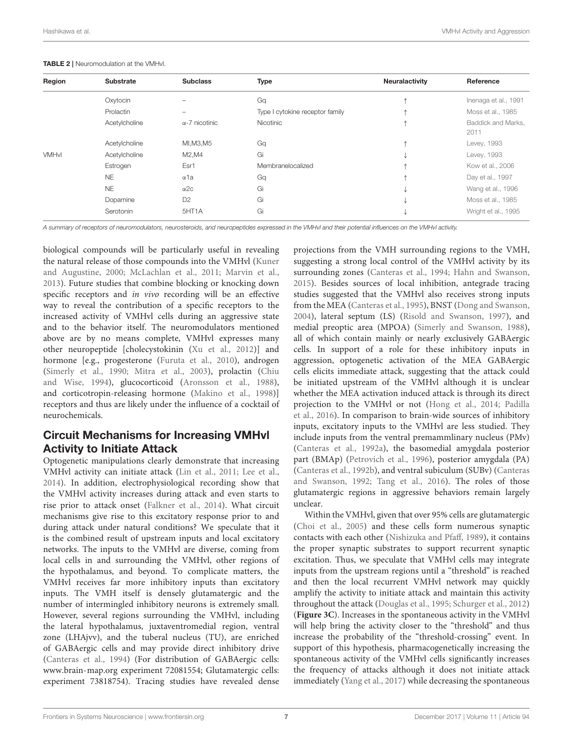| Region       | <b>Substrate</b> | <b>Subclass</b>       | <b>Type</b>                     | <b>Neuralactivity</b> | Reference                  |
|--------------|------------------|-----------------------|---------------------------------|-----------------------|----------------------------|
|              | Oxytocin         |                       | Gq                              |                       | Inenaga et al., 1991       |
|              | Prolactin        |                       | Type I cytokine receptor family |                       | Moss et al., 1985          |
|              | Acetylcholine    | $\alpha$ -7 nicotinic | Nicotinic                       |                       | Baddick and Marks,<br>2011 |
|              | Acetylcholine    | MI, M3, M5            | Gq                              |                       | Levey, 1993                |
| <b>VMHvl</b> | Acetylcholine    | M2,M4                 | Gi                              |                       | Levey, 1993                |
|              | Estrogen         | Esr1                  | Membranelocalized               |                       | Kow et al., 2006           |
|              | <b>NE</b>        | $\alpha$ 1a           | Gq                              | ᠰ                     | Day et al., 1997           |
|              | <b>NE</b>        | $\alpha$ 2c           | Gi                              |                       | Wang et al., 1996          |
|              | Dopamine         | D <sub>2</sub>        | Gi                              |                       | Moss et al., 1985          |
|              | Serotonin        | 5HT1A                 | Gi                              |                       | Wright et al., 1995        |
|              |                  |                       |                                 |                       |                            |

#### <span id="page-6-0"></span>TABLE 2 | Neuromodulation at the VMHvl.

*A summary of receptors of neuromodulators, neurosteroids, and neuropeptides expressed in the VMHvl and their potential influences on the VMHvl activity.*

biological compounds will be particularly useful in revealing the natural release of those compounds into the VMHvl (Kuner and Augustine, [2000;](#page-10-30) [McLachlan et al., 2011;](#page-11-25) [Marvin et al.,](#page-11-26) [2013\)](#page-11-26). Future studies that combine blocking or knocking down specific receptors and in vivo recording will be an effective way to reveal the contribution of a specific receptors to the increased activity of VMHvl cells during an aggressive state and to the behavior itself. The neuromodulators mentioned above are by no means complete, VMHvl expresses many other neuropeptide [cholecystokinin [\(Xu et al., 2012\)](#page-12-22)] and hormone [e.g., progesterone [\(Furuta et al., 2010\)](#page-10-31), androgen [\(Simerly et al., 1990;](#page-12-23) [Mitra et al., 2003\)](#page-11-27), prolactin (Chiu and Wise, [1994\)](#page-9-23), glucocorticoid [\(Aronsson et al., 1988\)](#page-9-24), and corticotropin-releasing hormone [\(Makino et al., 1998\)](#page-11-28)] receptors and thus are likely under the influence of a cocktail of neurochemicals.

#### Circuit Mechanisms for Increasing VMHvl Activity to Initiate Attack

Optogenetic manipulations clearly demonstrate that increasing VMHvl activity can initiate attack [\(Lin et al., 2011;](#page-10-5) [Lee et al.,](#page-10-6) [2014\)](#page-10-6). In addition, electrophysiological recording show that the VMHvl activity increases during attack and even starts to rise prior to attack onset [\(Falkner et al., 2014\)](#page-9-4). What circuit mechanisms give rise to this excitatory response prior to and during attack under natural conditions? We speculate that it is the combined result of upstream inputs and local excitatory networks. The inputs to the VMHvl are diverse, coming from local cells in and surrounding the VMHvl, other regions of the hypothalamus, and beyond. To complicate matters, the VMHvl receives far more inhibitory inputs than excitatory inputs. The VMH itself is densely glutamatergic and the number of intermingled inhibitory neurons is extremely small. However, several regions surrounding the VMHvl, including the lateral hypothalamus, juxtaventromedial region, ventral zone (LHAjvv), and the tuberal nucleus (TU), are enriched of GABAergic cells and may provide direct inhibitory drive [\(Canteras et al., 1994\)](#page-9-9) (For distribution of GABAergic cells: <www.brain-map.org> experiment 72081554; Glutamatergic cells: experiment 73818754). Tracing studies have revealed dense

projections from the VMH surrounding regions to the VMH, suggesting a strong local control of the VMHvl activity by its surrounding zones [\(Canteras et al., 1994;](#page-9-9) [Hahn and Swanson,](#page-10-32) [2015\)](#page-10-32). Besides sources of local inhibition, antegrade tracing studies suggested that the VMHvl also receives strong inputs from the MEA [\(Canteras et al., 1995\)](#page-9-11), BNST [\(Dong and Swanson,](#page-9-25) [2004\)](#page-9-25), lateral septum (LS) [\(Risold and Swanson, 1997\)](#page-11-29), and medial preoptic area (MPOA) [\(Simerly and Swanson, 1988\)](#page-12-24), all of which contain mainly or nearly exclusively GABAergic cells. In support of a role for these inhibitory inputs in aggression, optogenetic activation of the MEA GABAergic cells elicits immediate attack, suggesting that the attack could be initiated upstream of the VMHvl although it is unclear whether the MEA activation induced attack is through its direct projection to the VMHvl or not [\(Hong et al., 2014;](#page-10-33) Padilla et al., [2016\)](#page-11-30). In comparison to brain-wide sources of inhibitory inputs, excitatory inputs to the VMHvl are less studied. They include inputs from the ventral premammlinary nucleus (PMv) [\(Canteras et al., 1992a\)](#page-9-10), the basomedial amygdala posterior part (BMAp) [\(Petrovich et al., 1996\)](#page-11-31), posterior amygdala (PA) [\(Canteras et al., 1992b\)](#page-9-26), and ventral subiculum (SUBv) (Canteras and Swanson, [1992;](#page-9-27) [Tang et al., 2016\)](#page-12-25). The roles of those glutamatergic regions in aggressive behaviors remain largely unclear.

Within the VMHvl, given that over 95% cells are glutamatergic [\(Choi et al., 2005\)](#page-9-28) and these cells form numerous synaptic contacts with each other [\(Nishizuka and Pfaff, 1989\)](#page-11-32), it contains the proper synaptic substrates to support recurrent synaptic excitation. Thus, we speculate that VMHvl cells may integrate inputs from the upstream regions until a "threshold" is reached and then the local recurrent VMHvl network may quickly amplify the activity to initiate attack and maintain this activity throughout the attack [\(Douglas et al., 1995;](#page-9-29) [Schurger et al., 2012\)](#page-11-33) (**[Figure 3C](#page-5-0)**). Increases in the spontaneous activity in the VMHvl will help bring the activity closer to the "threshold" and thus increase the probability of the "threshold-crossing" event. In support of this hypothesis, pharmacogenetically increasing the spontaneous activity of the VMHvl cells significantly increases the frequency of attacks although it does not initiate attack immediately [\(Yang et al., 2017\)](#page-12-4) while decreasing the spontaneous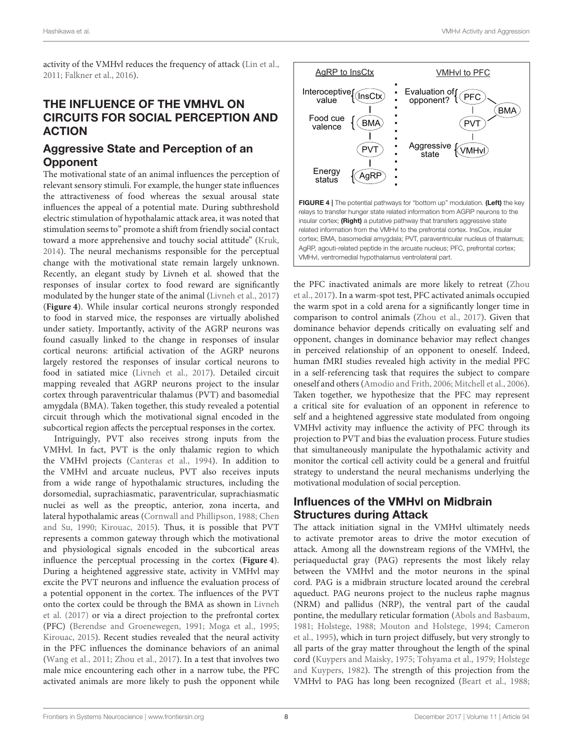activity of the VMHvl reduces the frequency of attack [\(Lin et al.,](#page-10-5) [2011;](#page-10-5) [Falkner et al., 2016\)](#page-9-3).

# THE INFLUENCE OF THE VMHVL ON CIRCUITS FOR SOCIAL PERCEPTION AND ACTION

#### Aggressive State and Perception of an **Opponent**

The motivational state of an animal influences the perception of relevant sensory stimuli. For example, the hunger state influences the attractiveness of food whereas the sexual arousal state influences the appeal of a potential mate. During subthreshold electric stimulation of hypothalamic attack area, it was noted that stimulation seems to" promote a shift from friendly social contact toward a more apprehensive and touchy social attitude" [\(Kruk,](#page-10-13) [2014\)](#page-10-13). The neural mechanisms responsible for the perceptual change with the motivational state remain largely unknown. Recently, an elegant study by Livneh et al. showed that the responses of insular cortex to food reward are significantly modulated by the hunger state of the animal [\(Livneh et al., 2017\)](#page-10-34) (**[Figure 4](#page-7-0)**). While insular cortical neurons strongly responded to food in starved mice, the responses are virtually abolished under satiety. Importantly, activity of the AGRP neurons was found casually linked to the change in responses of insular cortical neurons: artificial activation of the AGRP neurons largely restored the responses of insular cortical neurons to food in satiated mice [\(Livneh et al., 2017\)](#page-10-34). Detailed circuit mapping revealed that AGRP neurons project to the insular cortex through paraventricular thalamus (PVT) and basomedial amygdala (BMA). Taken together, this study revealed a potential circuit through which the motivational signal encoded in the subcortical region affects the perceptual responses in the cortex.

Intriguingly, PVT also receives strong inputs from the VMHvl. In fact, PVT is the only thalamic region to which the VMHvl projects [\(Canteras et al., 1994\)](#page-9-9). In addition to the VMHvl and arcuate nucleus, PVT also receives inputs from a wide range of hypothalamic structures, including the dorsomedial, suprachiasmatic, paraventricular, suprachiasmatic nuclei as well as the preoptic, anterior, zona incerta, and lateral hypothalamic areas [\(Cornwall and Phillipson, 1988;](#page-9-30) Chen and Su, [1990;](#page-9-31) [Kirouac, 2015\)](#page-10-35). Thus, it is possible that PVT represents a common gateway through which the motivational and physiological signals encoded in the subcortical areas influence the perceptual processing in the cortex (**[Figure 4](#page-7-0)**). During a heightened aggressive state, activity in VMHvl may excite the PVT neurons and influence the evaluation process of a potential opponent in the cortex. The influences of the PVT onto the cortex could be through the BMA as shown in Livneh et al. [\(2017\)](#page-10-34) or via a direct projection to the prefrontal cortex (PFC) [\(Berendse and Groenewegen, 1991;](#page-9-32) [Moga et al., 1995;](#page-11-34) [Kirouac, 2015\)](#page-10-35). Recent studies revealed that the neural activity in the PFC influences the dominance behaviors of an animal [\(Wang et al., 2011;](#page-12-26) [Zhou et al., 2017\)](#page-12-27). In a test that involves two male mice encountering each other in a narrow tube, the PFC activated animals are more likely to push the opponent while



<span id="page-7-0"></span>the PFC inactivated animals are more likely to retreat (Zhou et al., [2017\)](#page-12-27). In a warm-spot test, PFC activated animals occupied the warm spot in a cold arena for a significantly longer time in comparison to control animals [\(Zhou et al., 2017\)](#page-12-27). Given that dominance behavior depends critically on evaluating self and opponent, changes in dominance behavior may reflect changes in perceived relationship of an opponent to oneself. Indeed, human fMRI studies revealed high activity in the medial PFC in a self-referencing task that requires the subject to compare oneself and others [\(Amodio and Frith, 2006;](#page-8-1) [Mitchell et al., 2006\)](#page-11-35). Taken together, we hypothesize that the PFC may represent a critical site for evaluation of an opponent in reference to self and a heightened aggressive state modulated from ongoing VMHvl activity may influence the activity of PFC through its projection to PVT and bias the evaluation process. Future studies that simultaneously manipulate the hypothalamic activity and monitor the cortical cell activity could be a general and fruitful strategy to understand the neural mechanisms underlying the motivational modulation of social perception.

## Influences of the VMHvl on Midbrain Structures during Attack

The attack initiation signal in the VMHvl ultimately needs to activate premotor areas to drive the motor execution of attack. Among all the downstream regions of the VMHvl, the periaqueductal gray (PAG) represents the most likely relay between the VMHvl and the motor neurons in the spinal cord. PAG is a midbrain structure located around the cerebral aqueduct. PAG neurons project to the nucleus raphe magnus (NRM) and pallidus (NRP), the ventral part of the caudal pontine, the medullary reticular formation [\(Abols and Basbaum,](#page-8-2) [1981;](#page-8-2) [Holstege, 1988;](#page-10-36) [Mouton and Holstege, 1994;](#page-11-36) Cameron et al., [1995\)](#page-9-33), which in turn project diffusely, but very strongly to all parts of the gray matter throughout the length of the spinal cord [\(Kuypers and Maisky, 1975;](#page-10-37) [Tohyama et al., 1979;](#page-12-28) Holstege and Kuypers, [1982\)](#page-10-38). The strength of this projection from the VMHvl to PAG has long been recognized [\(Beart et al., 1988;](#page-9-34)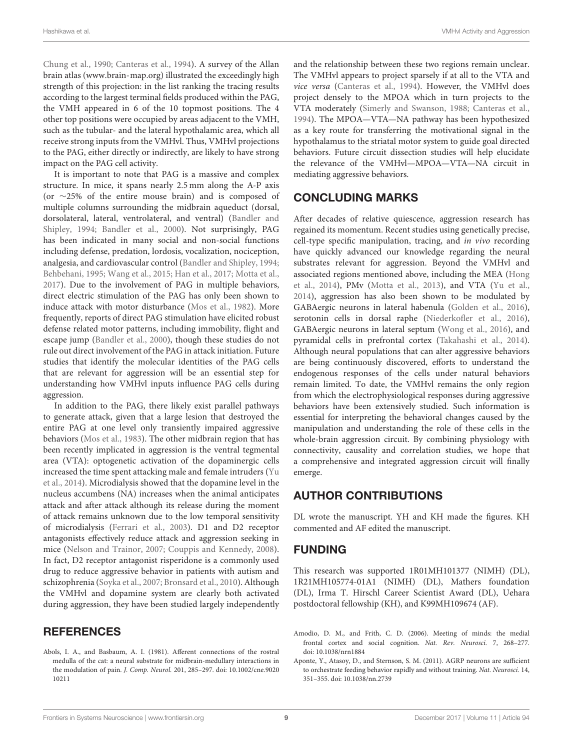[Chung et al., 1990;](#page-9-35) [Canteras et al., 1994\)](#page-9-9). A survey of the Allan brain atlas [\(www.brain-map.org\)](www.brain-map.org) illustrated the exceedingly high strength of this projection: in the list ranking the tracing results according to the largest terminal fields produced within the PAG, the VMH appeared in 6 of the 10 topmost positions. The 4 other top positions were occupied by areas adjacent to the VMH, such as the tubular- and the lateral hypothalamic area, which all receive strong inputs from the VMHvl. Thus, VMHvl projections to the PAG, either directly or indirectly, are likely to have strong impact on the PAG cell activity.

It is important to note that PAG is a massive and complex structure. In mice, it spans nearly 2.5 mm along the A-P axis (or ∼25% of the entire mouse brain) and is composed of multiple columns surrounding the midbrain aqueduct (dorsal, dorsolateral, lateral, ventrolateral, and ventral) (Bandler and Shipley, [1994;](#page-9-36) [Bandler et al., 2000\)](#page-9-37). Not surprisingly, PAG has been indicated in many social and non-social functions including defense, predation, lordosis, vocalization, nociception, analgesia, and cardiovascular control [\(Bandler and Shipley, 1994;](#page-9-36) [Behbehani, 1995;](#page-9-38) [Wang et al., 2015;](#page-12-29) [Han et al., 2017;](#page-10-39) [Motta et al.,](#page-11-37) [2017\)](#page-11-37). Due to the involvement of PAG in multiple behaviors, direct electric stimulation of the PAG has only been shown to induce attack with motor disturbance [\(Mos et al., 1982\)](#page-11-38). More frequently, reports of direct PAG stimulation have elicited robust defense related motor patterns, including immobility, flight and escape jump [\(Bandler et al., 2000\)](#page-9-37), though these studies do not rule out direct involvement of the PAG in attack initiation. Future studies that identify the molecular identities of the PAG cells that are relevant for aggression will be an essential step for understanding how VMHvl inputs influence PAG cells during aggression.

In addition to the PAG, there likely exist parallel pathways to generate attack, given that a large lesion that destroyed the entire PAG at one level only transiently impaired aggressive behaviors [\(Mos et al., 1983\)](#page-11-39). The other midbrain region that has been recently implicated in aggression is the ventral tegmental area (VTA): optogenetic activation of the dopaminergic cells increased the time spent attacking male and female intruders (Yu et al., [2014\)](#page-12-30). Microdialysis showed that the dopamine level in the nucleus accumbens (NA) increases when the animal anticipates attack and after attack although its release during the moment of attack remains unknown due to the low temporal sensitivity of microdialysis [\(Ferrari et al., 2003\)](#page-9-39). D1 and D2 receptor antagonists effectively reduce attack and aggression seeking in mice [\(Nelson and Trainor, 2007;](#page-11-1) [Couppis and Kennedy, 2008\)](#page-9-40). In fact, D2 receptor antagonist risperidone is a commonly used drug to reduce aggressive behavior in patients with autism and schizophrenia [\(Soyka et al., 2007;](#page-12-31) [Bronsard et al., 2010\)](#page-9-41). Although the VMHvl and dopamine system are clearly both activated during aggression, they have been studied largely independently

#### **REFERENCES**

<span id="page-8-2"></span>Abols, I. A., and Basbaum, A. I. (1981). Afferent connections of the rostral medulla of the cat: a neural substrate for midbrain-medullary interactions in the modulation of pain. J. Comp. Neurol. [201, 285–297. doi: 10.1002/cne.9020](https://doi.org/10.1002/cne.902010211) 10211

and the relationship between these two regions remain unclear. The VMHvl appears to project sparsely if at all to the VTA and vice versa [\(Canteras et al., 1994\)](#page-9-9). However, the VMHvl does project densely to the MPOA which in turn projects to the VTA moderately [\(Simerly and Swanson, 1988;](#page-12-24) [Canteras et al.,](#page-9-9) [1994\)](#page-9-9). The MPOA—VTA—NA pathway has been hypothesized as a key route for transferring the motivational signal in the hypothalamus to the striatal motor system to guide goal directed behaviors. Future circuit dissection studies will help elucidate the relevance of the VMHvl—MPOA—VTA—NA circuit in mediating aggressive behaviors.

## CONCLUDING MARKS

After decades of relative quiescence, aggression research has regained its momentum. Recent studies using genetically precise, cell-type specific manipulation, tracing, and in vivo recording have quickly advanced our knowledge regarding the neural substrates relevant for aggression. Beyond the VMHvl and associated regions mentioned above, including the MEA (Hong et al., [2014\)](#page-10-33), PMv [\(Motta et al., 2013\)](#page-11-21), and VTA [\(Yu et al.,](#page-12-30) [2014\)](#page-12-30), aggression has also been shown to be modulated by GABAergic neurons in lateral habenula [\(Golden et al., 2016\)](#page-10-8), serotonin cells in dorsal raphe [\(Niederkofler et al., 2016\)](#page-11-40), GABAergic neurons in lateral septum [\(Wong et al., 2016\)](#page-12-8), and pyramidal cells in prefrontal cortex [\(Takahashi et al., 2014\)](#page-12-32). Although neural populations that can alter aggressive behaviors are being continuously discovered, efforts to understand the endogenous responses of the cells under natural behaviors remain limited. To date, the VMHvl remains the only region from which the electrophysiological responses during aggressive behaviors have been extensively studied. Such information is essential for interpreting the behavioral changes caused by the manipulation and understanding the role of these cells in the whole-brain aggression circuit. By combining physiology with connectivity, causality and correlation studies, we hope that a comprehensive and integrated aggression circuit will finally emerge.

## AUTHOR CONTRIBUTIONS

DL wrote the manuscript. YH and KH made the figures. KH commented and AF edited the manuscript.

#### FUNDING

This research was supported 1R01MH101377 (NIMH) (DL), 1R21MH105774-01A1 (NIMH) (DL), Mathers foundation (DL), Irma T. Hirschl Career Scientist Award (DL), Uehara postdoctoral fellowship (KH), and K99MH109674 (AF).

<span id="page-8-1"></span>Amodio, D. M., and Frith, C. D. (2006). Meeting of minds: the medial frontal cortex and social cognition. Nat. Rev. Neurosci. 7, 268–277. doi: [10.1038/nrn1884](https://doi.org/10.1038/nrn1884)

<span id="page-8-0"></span>Aponte, Y., Atasoy, D., and Sternson, S. M. (2011). AGRP neurons are sufficient to orchestrate feeding behavior rapidly and without training. Nat. Neurosci. 14, 351–355. doi: [10.1038/nn.2739](https://doi.org/10.1038/nn.2739)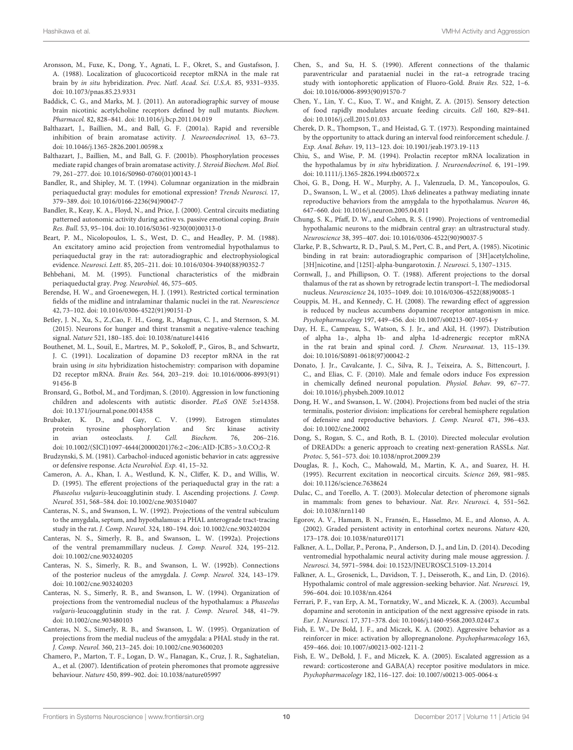- <span id="page-9-24"></span>Aronsson, M., Fuxe, K., Dong, Y., Agnati, L. F., Okret, S., and Gustafsson, J. A. (1988). Localization of glucocorticoid receptor mRNA in the male rat brain by in situ hybridization. Proc. Natl. Acad. Sci. U.S.A. 85, 9331–9335. doi: [10.1073/pnas.85.23.9331](https://doi.org/10.1073/pnas.85.23.9331)
- <span id="page-9-16"></span>Baddick, C. G., and Marks, M. J. (2011). An autoradiographic survey of mouse brain nicotinic acetylcholine receptors defined by null mutants. Biochem. Pharmacol. 82, 828–841. doi: [10.1016/j.bcp.2011.04.019](https://doi.org/10.1016/j.bcp.2011.04.019)
- <span id="page-9-21"></span>Balthazart, J., Baillien, M., and Ball, G. F. (2001a). Rapid and reversible inhibition of brain aromatase activity. J. Neuroendocrinol. 13, 63–73. doi: [10.1046/j.1365-2826.2001.00598.x](https://doi.org/10.1046/j.1365-2826.2001.00598.x)
- <span id="page-9-22"></span>Balthazart, J., Baillien, M., and Ball, G. F. (2001b). Phosphorylation processes mediate rapid changes of brain aromatase activity. J. Steroid Biochem. Mol. Biol. 79, 261–277. doi: [10.1016/S0960-0760\(01\)00143-1](https://doi.org/10.1016/S0960-0760(01)00143-1)
- <span id="page-9-36"></span>Bandler, R., and Shipley, M. T. (1994). Columnar organization in the midbrain periaqueductal gray: modules for emotional expression? Trends Neurosci. 17, 379–389. doi: [10.1016/0166-2236\(94\)90047-7](https://doi.org/10.1016/0166-2236(94)90047-7)
- <span id="page-9-37"></span>Bandler, R., Keay, K. A., Floyd, N., and Price, J. (2000). Central circuits mediating patterned autonomic activity during active vs. passive emotional coping. Brain Res. Bull. 53, 95–104. doi: [10.1016/S0361-9230\(00\)00313-0](https://doi.org/10.1016/S0361-9230(00)00313-0)
- <span id="page-9-34"></span>Beart, P. M., Nicolopoulos, L. S., West, D. C., and Headley, P. M. (1988). An excitatory amino acid projection from ventromedial hypothalamus to periaqueductal gray in the rat: autoradiographic and electrophysiological evidence. Neurosci. Lett. 85, 205–211. doi: [10.1016/0304-3940\(88\)90352-7](https://doi.org/10.1016/0304-3940(88)90352-7)
- <span id="page-9-38"></span>Behbehani, M. M. (1995). Functional characteristics of the midbrain periaqueductal gray. Prog. Neurobiol. 46, 575–605.
- <span id="page-9-32"></span>Berendse, H. W., and Groenewegen, H. J. (1991). Restricted cortical termination fields of the midline and intralaminar thalamic nuclei in the rat. Neuroscience 42, 73–102. doi: [10.1016/0306-4522\(91\)90151-D](https://doi.org/10.1016/0306-4522(91)90151-D)
- <span id="page-9-5"></span>Betley, J. N., Xu, S., Z.,Cao, F. H., Gong, R., Magnus, C. J., and Sternson, S. M. (2015). Neurons for hunger and thirst transmit a negative-valence teaching signal. Nature 521, 180–185. doi: [10.1038/nature14416](https://doi.org/10.1038/nature14416)
- <span id="page-9-13"></span>Bouthenet, M. L., Souil, E., Martres, M. P., Sokoloff, P., Giros, B., and Schwartz, J. C. (1991). Localization of dopamine D3 receptor mRNA in the rat brain using in situ hybridization histochemistry: comparison with dopamine D2 receptor mRNA. Brain Res. [564, 203–219. doi: 10.1016/0006-8993\(91\)](https://doi.org/10.1016/0006-8993(91)91456-B) 91456-B
- <span id="page-9-41"></span>Bronsard, G., Botbol, M., and Tordjman, S. (2010). Aggression in low functioning children and adolescents with autistic disorder. PLoS ONE 5:e14358. doi: [10.1371/journal.pone.0014358](https://doi.org/10.1371/journal.pone.0014358)
- <span id="page-9-20"></span>Brubaker, K. D., and Gay, C. V. (1999). Estrogen stimulates protein tyrosine phosphorylation and Src kinase activity<br>in avian osteoclasts. *I. Cell. Biochem.* 76, 206–216. in avian osteoclasts. J. Cell. Biochem. 76, 206–216. doi: [10.1002/\(SICI\)1097-4644\(20000201\)76:2](https://doi.org/10.1002/(SICI)1097-4644(20000201)76:2<206::AID-JCB5>3.0.CO;2-R)<206::AID-JCB5>3.0.CO;2-R
- <span id="page-9-18"></span>Brudzynski, S. M. (1981). Carbachol-induced agonistic behavior in cats: aggressive or defensive response. Acta Neurobiol. Exp. 41, 15–32.
- <span id="page-9-33"></span>Cameron, A. A., Khan, I. A., Westlund, K. N., Cliffer, K. D., and Willis, W. D. (1995). The efferent projections of the periaqueductal gray in the rat: a Phaseolus vulgaris-leucoagglutinin study. I. Ascending projections. J. Comp. Neurol. 351, 568–584. doi: [10.1002/cne.903510407](https://doi.org/10.1002/cne.903510407)
- <span id="page-9-27"></span>Canteras, N. S., and Swanson, L. W. (1992). Projections of the ventral subiculum to the amygdala, septum, and hypothalamus: a PHAL anterograde tract-tracing study in the rat. J. Comp. Neurol. 324, 180–194. doi: [10.1002/cne.903240204](https://doi.org/10.1002/cne.903240204)
- <span id="page-9-10"></span>Canteras, N. S., Simerly, R. B., and Swanson, L. W. (1992a). Projections of the ventral premammillary nucleus. J. Comp. Neurol. 324, 195–212. doi: [10.1002/cne.903240205](https://doi.org/10.1002/cne.903240205)
- <span id="page-9-26"></span>Canteras, N. S., Simerly, R. B., and Swanson, L. W. (1992b). Connections of the posterior nucleus of the amygdala. J. Comp. Neurol. 324, 143–179. doi: [10.1002/cne.903240203](https://doi.org/10.1002/cne.903240203)
- <span id="page-9-9"></span>Canteras, N. S., Simerly, R. B., and Swanson, L. W. (1994). Organization of projections from the ventromedial nucleus of the hypothalamus: a Phaseolus vulgaris-leucoagglutinin study in the rat. J. Comp. Neurol. 348, 41–79. doi: [10.1002/cne.903480103](https://doi.org/10.1002/cne.903480103)
- <span id="page-9-11"></span>Canteras, N. S., Simerly, R. B., and Swanson, L. W. (1995). Organization of projections from the medial nucleus of the amygdala: a PHAL study in the rat. J. Comp. Neurol. 360, 213–245. doi: [10.1002/cne.903600203](https://doi.org/10.1002/cne.903600203)
- <span id="page-9-8"></span>Chamero, P., Marton, T. F., Logan, D. W., Flanagan, K., Cruz, J. R., Saghatelian, A., et al. (2007). Identification of protein pheromones that promote aggressive behaviour. Nature 450, 899–902. doi: [10.1038/nature05997](https://doi.org/10.1038/nature05997)
- <span id="page-9-31"></span>Chen, S., and Su, H. S. (1990). Afferent connections of the thalamic paraventricular and parataenial nuclei in the rat–a retrograde tracing study with iontophoretic application of Fluoro-Gold. Brain Res. 522, 1–6. doi: [10.1016/0006-8993\(90\)91570-7](https://doi.org/10.1016/0006-8993(90)91570-7)
- <span id="page-9-6"></span>Chen, Y., Lin, Y. C., Kuo, T. W., and Knight, Z. A. (2015). Sensory detection of food rapidly modulates arcuate feeding circuits. Cell 160, 829–841. doi: [10.1016/j.cell.2015.01.033](https://doi.org/10.1016/j.cell.2015.01.033)
- <span id="page-9-0"></span>Cherek, D. R., Thompson, T., and Heistad, G. T. (1973). Responding maintained by the opportunity to attack during an interval food reinforcement schedule. J. Exp. Anal. Behav. 19, 113–123. doi: [10.1901/jeab.1973.19-113](https://doi.org/10.1901/jeab.1973.19-113)
- <span id="page-9-23"></span>Chiu, S., and Wise, P. M. (1994). Prolactin receptor mRNA localization in the hypothalamus by in situ hybridization. J. Neuroendocrinol. 6, 191–199. doi: [10.1111/j.1365-2826.1994.tb00572.x](https://doi.org/10.1111/j.1365-2826.1994.tb00572.x)
- <span id="page-9-28"></span>Choi, G. B., Dong, H. W., Murphy, A. J., Valenzuela, D. M., Yancopoulos, G. D., Swanson, L. W., et al. (2005). Lhx6 delineates a pathway mediating innate reproductive behaviors from the amygdala to the hypothalamus. Neuron 46, 647–660. doi: [10.1016/j.neuron.2005.04.011](https://doi.org/10.1016/j.neuron.2005.04.011)
- <span id="page-9-35"></span>Chung, S. K., Pfaff, D. W., and Cohen, R. S. (1990). Projections of ventromedial hypothalamic neurons to the midbrain central gray: an ultrastructural study. Neuroscience 38, 395–407. doi: [10.1016/0306-4522\(90\)90037-5](https://doi.org/10.1016/0306-4522(90)90037-5)
- <span id="page-9-15"></span>Clarke, P. B., Schwartz, R. D., Paul, S. M., Pert, C. B., and Pert, A. (1985). Nicotinic binding in rat brain: autoradiographic comparison of [3H]acetylcholine, [3H]nicotine, and [125I]-alpha-bungarotoxin. J. Neurosci. 5, 1307–1315.
- <span id="page-9-30"></span>Cornwall, J., and Phillipson, O. T. (1988). Afferent projections to the dorsal thalamus of the rat as shown by retrograde lectin transport–I. The mediodorsal nucleus. Neuroscience 24, 1035–1049. doi: [10.1016/0306-4522\(88\)90085-1](https://doi.org/10.1016/0306-4522(88)90085-1)
- <span id="page-9-40"></span>Couppis, M. H., and Kennedy, C. H. (2008). The rewarding effect of aggression is reduced by nucleus accumbens dopamine receptor antagonism in mice. Psychopharmacology 197, 449–456. doi: [10.1007/s00213-007-1054-y](https://doi.org/10.1007/s00213-007-1054-y)
- <span id="page-9-14"></span>Day, H. E., Campeau, S., Watson, S. J. Jr., and Akil, H. (1997). Distribution of alpha 1a-, alpha 1b- and alpha 1d-adrenergic receptor mRNA in the rat brain and spinal cord. J. Chem. Neuroanat. 13, 115–139. doi: [10.1016/S0891-0618\(97\)00042-2](https://doi.org/10.1016/S0891-0618(97)00042-2)
- <span id="page-9-12"></span>Donato, J. Jr., Cavalcante, J. C., Silva, R. J., Teixeira, A. S., Bittencourt, J. C., and Elias, C. F. (2010). Male and female odors induce Fos expression in chemically defined neuronal population. Physiol. Behav. 99, 67–77. doi: [10.1016/j.physbeh.2009.10.012](https://doi.org/10.1016/j.physbeh.2009.10.012)
- <span id="page-9-25"></span>Dong, H. W., and Swanson, L. W. (2004). Projections from bed nuclei of the stria terminalis, posterior division: implications for cerebral hemisphere regulation of defensive and reproductive behaviors. J. Comp. Neurol. 471, 396–433. doi: [10.1002/cne.20002](https://doi.org/10.1002/cne.20002)
- <span id="page-9-19"></span>Dong, S., Rogan, S. C., and Roth, B. L. (2010). Directed molecular evolution of DREADDs: a generic approach to creating next-generation RASSLs. Nat. Protoc. 5, 561–573. doi: [10.1038/nprot.2009.239](https://doi.org/10.1038/nprot.2009.239)
- <span id="page-9-29"></span>Douglas, R. J., Koch, C., Mahowald, M., Martin, K. A., and Suarez, H. H. (1995). Recurrent excitation in neocortical circuits. Science 269, 981–985. doi: [10.1126/science.7638624](https://doi.org/10.1126/science.7638624)
- <span id="page-9-7"></span>Dulac, C., and Torello, A. T. (2003). Molecular detection of pheromone signals in mammals: from genes to behaviour. Nat. Rev. Neurosci. 4, 551–562. doi: [10.1038/nrn1140](https://doi.org/10.1038/nrn1140)
- <span id="page-9-17"></span>Egorov, A. V., Hamam, B. N., Fransén, E., Hasselmo, M. E., and Alonso, A. A. (2002). Graded persistent activity in entorhinal cortex neurons. Nature 420, 173–178. doi: [10.1038/nature01171](https://doi.org/10.1038/nature01171)
- <span id="page-9-4"></span>Falkner, A. L., Dollar, P., Perona, P., Anderson, D. J., and Lin, D. (2014). Decoding ventromedial hypothalamic neural activity during male mouse aggression. J. Neurosci. 34, 5971–5984. doi: [10.1523/JNEUROSCI.5109-13.2014](https://doi.org/10.1523/JNEUROSCI.5109-13.2014)
- <span id="page-9-3"></span>Falkner, A. L., Grosenick, L., Davidson, T. J., Deisseroth, K., and Lin, D. (2016). Hypothalamic control of male aggression-seeking behavior. Nat. Neurosci. 19, 596–604. doi: [10.1038/nn.4264](https://doi.org/10.1038/nn.4264)
- <span id="page-9-39"></span>Ferrari, P. F., van Erp, A. M., Tornatzky, W., and Miczek, K. A. (2003). Accumbal dopamine and serotonin in anticipation of the next aggressive episode in rats. Eur. J. Neurosci. 17, 371–378. doi: [10.1046/j.1460-9568.2003.02447.x](https://doi.org/10.1046/j.1460-9568.2003.02447.x)
- <span id="page-9-1"></span>Fish, E. W., De Bold, J. F., and Miczek, K. A. (2002). Aggressive behavior as a reinforcer in mice: activation by allopregnanolone. Psychopharmacology 163, 459–466. doi: [10.1007/s00213-002-1211-2](https://doi.org/10.1007/s00213-002-1211-2)
- <span id="page-9-2"></span>Fish, E. W., DeBold, J. F., and Miczek, K. A. (2005). Escalated aggression as a reward: corticosterone and GABA(A) receptor positive modulators in mice. Psychopharmacology 182, 116–127. doi: [10.1007/s00213-005-0064-x](https://doi.org/10.1007/s00213-005-0064-x)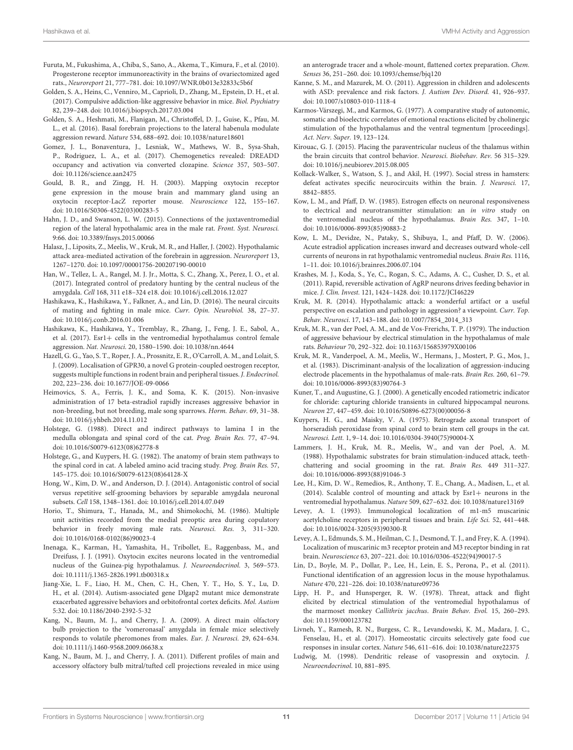- <span id="page-10-31"></span>Furuta, M., Fukushima, A., Chiba, S., Sano, A., Akema, T., Kimura, F., et al. (2010). Progesterone receptor immunoreactivity in the brains of ovariectomized aged rats., Neuroreport 21, 777–781. doi: [10.1097/WNR.0b013e32833c5b6f](https://doi.org/10.1097/WNR.0b013e32833c5b6f)
- <span id="page-10-9"></span>Golden, S. A., Heins, C., Venniro, M., Caprioli, D., Zhang, M., Epstein, D. H., et al. (2017). Compulsive addiction-like aggressive behavior in mice. Biol. Psychiatry 82, 239–248. doi: [10.1016/j.biopsych.2017.03.004](https://doi.org/10.1016/j.biopsych.2017.03.004)
- <span id="page-10-8"></span>Golden, S. A., Heshmati, M., Flanigan, M., Christoffel, D. J., Guise, K., Pfau, M. L., et al. (2016). Basal forebrain projections to the lateral habenula modulate aggression reward. Nature 534, 688–692. doi: [10.1038/nature18601](https://doi.org/10.1038/nature18601)
- <span id="page-10-23"></span>Gomez, J. L., Bonaventura, J., Lesniak, W., Mathews, W. B., Sysa-Shah, P., Rodriguez, L. A., et al. (2017). Chemogenetics revealed: DREADD occupancy and activation via converted clozapine. Science 357, 503–507. doi: [10.1126/science.aan2475](https://doi.org/10.1126/science.aan2475)
- <span id="page-10-24"></span>Gould, B. R., and Zingg, H. H. (2003). Mapping oxytocin receptor gene expression in the mouse brain and mammary gland using an oxytocin receptor-LacZ reporter mouse. Neuroscience 122, 155–167. doi: [10.1016/S0306-4522\(03\)00283-5](https://doi.org/10.1016/S0306-4522(03)00283-5)
- <span id="page-10-32"></span>Hahn, J. D., and Swanson, L. W. (2015). Connections of the juxtaventromedial region of the lateral hypothalamic area in the male rat. Front. Syst. Neurosci. 9:66. doi: [10.3389/fnsys.2015.00066](https://doi.org/10.3389/fnsys.2015.00066)
- <span id="page-10-4"></span>Halasz, J., Liposits, Z., Meelis, W., Kruk, M. R., and Haller, J. (2002). Hypothalamic attack area-mediated activation of the forebrain in aggression. Neuroreport 13, 1267–1270. doi: [10.1097/00001756-200207190-00010](https://doi.org/10.1097/00001756-200207190-00010)
- <span id="page-10-39"></span>Han, W., Tellez, L. A., Rangel, M. J. Jr., Motta, S. C., Zhang, X., Perez, I. O., et al. (2017). Integrated control of predatory hunting by the central nucleus of the amygdala. Cell 168, 311 e18–324 e18. doi: [10.1016/j.cell.2016.12.027](https://doi.org/10.1016/j.cell.2016.12.027)
- <span id="page-10-16"></span>Hashikawa, K., Hashikawa, Y., Falkner, A., and Lin, D. (2016). The neural circuits of mating and fighting in male mice. Curr. Opin. Neurobiol. 38, 27–37. doi: [10.1016/j.conb.2016.01.006](https://doi.org/10.1016/j.conb.2016.01.006)
- <span id="page-10-7"></span>Hashikawa, K., Hashikawa, Y., Tremblay, R., Zhang, J., Feng, J. E., Sabol, A., et al. (2017). Esr1+ cells in the ventromedial hypothalamus control female aggression. Nat. Neurosci. 20, 1580–1590. doi: [10.1038/nn.4644](https://doi.org/10.1038/nn.4644)
- <span id="page-10-27"></span>Hazell, G. G., Yao, S. T., Roper, J. A., Prossnitz, E. R., O'Carroll, A. M., and Lolait, S. J. (2009). Localisation of GPR30, a novel G protein-coupled oestrogen receptor, suggests multiple functions in rodent brain and peripheral tissues. J. Endocrinol. 202, 223–236. doi: [10.1677/JOE-09-0066](https://doi.org/10.1677/JOE-09-0066)
- <span id="page-10-29"></span>Heimovics, S. A., Ferris, J. K., and Soma, K. K. (2015). Non-invasive administration of 17 beta-estradiol rapidly increases aggressive behavior in non-breeding, but not breeding, male song sparrows. Horm. Behav. 69, 31–38. doi: [10.1016/j.yhbeh.2014.11.012](https://doi.org/10.1016/j.yhbeh.2014.11.012)
- <span id="page-10-36"></span>Holstege, G. (1988). Direct and indirect pathways to lamina I in the medulla oblongata and spinal cord of the cat. Prog. Brain Res. 77, 47–94. doi: [10.1016/S0079-6123\(08\)62778-8](https://doi.org/10.1016/S0079-6123(08)62778-8)
- <span id="page-10-38"></span>Holstege, G., and Kuypers, H. G. (1982). The anatomy of brain stem pathways to the spinal cord in cat. A labeled amino acid tracing study. Prog. Brain Res. 57, 145–175. doi: [10.1016/S0079-6123\(08\)64128-X](https://doi.org/10.1016/S0079-6123(08)64128-X)
- <span id="page-10-33"></span>Hong, W., Kim, D. W., and Anderson, D. J. (2014). Antagonistic control of social versus repetitive self-grooming behaviors by separable amygdala neuronal subsets. Cell 158, 1348–1361. doi: [10.1016/j.cell.2014.07.049](https://doi.org/10.1016/j.cell.2014.07.049)
- <span id="page-10-12"></span>Horio, T., Shimura, T., Hanada, M., and Shimokochi, M. (1986). Multiple unit activities recorded from the medial preoptic area during copulatory behavior in freely moving male rats. Neurosci. Res. 3, 311–320. doi: [10.1016/0168-0102\(86\)90023-4](https://doi.org/10.1016/0168-0102(86)90023-4)
- <span id="page-10-25"></span>Inenaga, K., Karman, H., Yamashita, H., Tribollet, E., Raggenbass, M., and Dreifuss, J. J. (1991). Oxytocin excites neurons located in the ventromedial nucleus of the Guinea-pig hypothalamus. J. Neuroendocrinol. 3, 569–573. doi: [10.1111/j.1365-2826.1991.tb00318.x](https://doi.org/10.1111/j.1365-2826.1991.tb00318.x)
- <span id="page-10-15"></span>Jiang-Xie, L. F., Liao, H. M., Chen, C. H., Chen, Y. T., Ho, S. Y., Lu, D. H., et al. (2014). Autism-associated gene Dlgap2 mutant mice demonstrate exacerbated aggressive behaviors and orbitofrontal cortex deficits. Mol. Autism 5:32. doi: [10.1186/2040-2392-5-32](https://doi.org/10.1186/2040-2392-5-32)
- <span id="page-10-17"></span>Kang, N., Baum, M. J., and Cherry, J. A. (2009). A direct main olfactory bulb projection to the 'vomeronasal' amygdala in female mice selectively responds to volatile pheromones from males. Eur. J. Neurosci. 29, 624–634. doi: [10.1111/j.1460-9568.2009.06638.x](https://doi.org/10.1111/j.1460-9568.2009.06638.x)
- <span id="page-10-18"></span>Kang, N., Baum, M. J., and Cherry, J. A. (2011). Different profiles of main and accessory olfactory bulb mitral/tufted cell projections revealed in mice using

an anterograde tracer and a whole-mount, flattened cortex preparation. Chem. Senses 36, 251–260. doi: [10.1093/chemse/bjq120](https://doi.org/10.1093/chemse/bjq120)

- <span id="page-10-14"></span>Kanne, S. M., and Mazurek, M. O. (2011). Aggression in children and adolescents with ASD: prevalence and risk factors. J. Autism Dev. Disord. 41, 926–937. doi: [10.1007/s10803-010-1118-4](https://doi.org/10.1007/s10803-010-1118-4)
- <span id="page-10-22"></span>Karmos-Várszegi, M., and Karmos, G. (1977). A comparative study of autonomic, somatic and bioelectric correlates of emotional reactions elicited by cholinergic stimulation of the hypothalamus and the ventral tegmentum [proceedings]. Act. Nerv. Super. 19, 123–124.
- <span id="page-10-35"></span>Kirouac, G. J. (2015). Placing the paraventricular nucleus of the thalamus within the brain circuits that control behavior. Neurosci. Biobehav. Rev. 56 315–329. doi: [10.1016/j.neubiorev.2015.08.005](https://doi.org/10.1016/j.neubiorev.2015.08.005)
- <span id="page-10-10"></span>Kollack-Walker, S., Watson, S. J., and Akil, H. (1997). Social stress in hamsters: defeat activates specific neurocircuits within the brain. J. Neurosci. 17, 8842–8855.
- <span id="page-10-19"></span>Kow, L. M., and Pfaff, D. W. (1985). Estrogen effects on neuronal responsiveness to electrical and neurotransmitter stimulation: an in vitro study on the ventromedial nucleus of the hypothalamus. Brain Res. 347, 1–10. doi: [10.1016/0006-8993\(85\)90883-2](https://doi.org/10.1016/0006-8993(85)90883-2)
- <span id="page-10-28"></span>Kow, L. M., Devidze, N., Pataky, S., Shibuya, I., and Pfaff, D. W. (2006). Acute estradiol application increases inward and decreases outward whole-cell currents of neurons in rat hypothalamic ventromedial nucleus. Brain Res. 1116, 1–11. doi: [10.1016/j.brainres.2006.07.104](https://doi.org/10.1016/j.brainres.2006.07.104)
- <span id="page-10-11"></span>Krashes, M. J., Koda, S., Ye, C., Rogan, S. C., Adams, A. C., Cusher, D. S., et al. (2011). Rapid, reversible activation of AgRP neurons drives feeding behavior in mice. J. Clin. Invest. 121, 1424–1428. doi: [10.1172/JCI46229](https://doi.org/10.1172/JCI46229)
- <span id="page-10-13"></span>Kruk, M. R. (2014). Hypothalamic attack: a wonderful artifact or a useful perspective on escalation and pathology in aggression? a viewpoint. Curr. Top. Behav. Neurosci. 17, 143–188. doi: [10.1007/7854\\_2014\\_313](https://doi.org/10.1007/7854_2014_313)
- <span id="page-10-1"></span>Kruk, M. R., van der Poel, A. M., and de Vos-Frerichs, T. P. (1979). The induction of aggressive behaviour by electrical stimulation in the hypothalamus of male rats. Behaviour 70, 292–322. doi: [10.1163/156853979X00106](https://doi.org/10.1163/156853979X00106)
- <span id="page-10-2"></span>Kruk, M. R., Vanderpoel, A. M., Meelis, W., Hermans, J., Mostert, P. G., Mos, J., et al. (1983). Discriminant-analysis of the localization of aggression-inducing electrode placements in the hypothalamus of male-rats. Brain Res. 260, 61–79. doi: [10.1016/0006-8993\(83\)90764-3](https://doi.org/10.1016/0006-8993(83)90764-3)
- <span id="page-10-30"></span>Kuner, T., and Augustine, G. J. (2000). A genetically encoded ratiometric indicator for chloride: capturing chloride transients in cultured hippocampal neurons. Neuron 27, 447–459. doi: [10.1016/S0896-6273\(00\)00056-8](https://doi.org/10.1016/S0896-6273(00)00056-8)
- <span id="page-10-37"></span>Kuypers, H. G., and Maisky, V. A. (1975). Retrograde axonal transport of horseradish peroxidase from spinal cord to brain stem cell groups in the cat. Neurosci. Lett. 1, 9–14. doi: [10.1016/0304-3940\(75\)90004-X](https://doi.org/10.1016/0304-3940(75)90004-X)
- <span id="page-10-3"></span>Lammers, J. H., Kruk, M. R., Meelis, W., and van der Poel, A. M. (1988). Hypothalamic substrates for brain stimulation-induced attack, teethchattering and social grooming in the rat. Brain Res. 449 311–327. doi: [10.1016/0006-8993\(88\)91046-3](https://doi.org/10.1016/0006-8993(88)91046-3)
- <span id="page-10-6"></span>Lee, H., Kim, D. W., Remedios, R., Anthony, T. E., Chang, A., Madisen, L., et al. (2014). Scalable control of mounting and attack by Esr1+ neurons in the ventromedial hypothalamus. Nature 509, 627–632. doi: [10.1038/nature13169](https://doi.org/10.1038/nature13169)
- <span id="page-10-20"></span>Levey, A. I. (1993). Immunological localization of m1-m5 muscarinic acetylcholine receptors in peripheral tissues and brain. Life Sci. 52, 441–448. doi: [10.1016/0024-3205\(93\)90300-R](https://doi.org/10.1016/0024-3205(93)90300-R)
- <span id="page-10-21"></span>Levey, A. I., Edmunds, S. M., Heilman, C. J., Desmond, T. J., and Frey, K. A. (1994). Localization of muscarinic m3 receptor protein and M3 receptor binding in rat brain. Neuroscience 63, 207–221. doi: [10.1016/0306-4522\(94\)90017-5](https://doi.org/10.1016/0306-4522(94)90017-5)
- <span id="page-10-5"></span>Lin, D., Boyle, M. P., Dollar, P., Lee, H., Lein, E. S., Perona, P., et al. (2011). Functional identification of an aggression locus in the mouse hypothalamus. Nature 470, 221–226. doi: [10.1038/nature09736](https://doi.org/10.1038/nature09736)
- <span id="page-10-0"></span>Lipp, H. P., and Hunsperger, R. W. (1978). Threat, attack and flight elicited by electrical stimulation of the ventromedial hypothalamus of the marmoset monkey Callithrix jacchus. Brain Behav. Evol. 15, 260–293. doi: [10.1159/000123782](https://doi.org/10.1159/000123782)
- <span id="page-10-34"></span>Livneh, Y., Ramesh, R. N., Burgess, C. R., Levandowski, K. M., Madara, J. C., Fenselau, H., et al. (2017). Homeostatic circuits selectively gate food cue responses in insular cortex. Nature 546, 611–616. doi: [10.1038/nature22375](https://doi.org/10.1038/nature22375)
- <span id="page-10-26"></span>Ludwig, M. (1998). Dendritic release of vasopressin and oxytocin. J. Neuroendocrinol. 10, 881–895.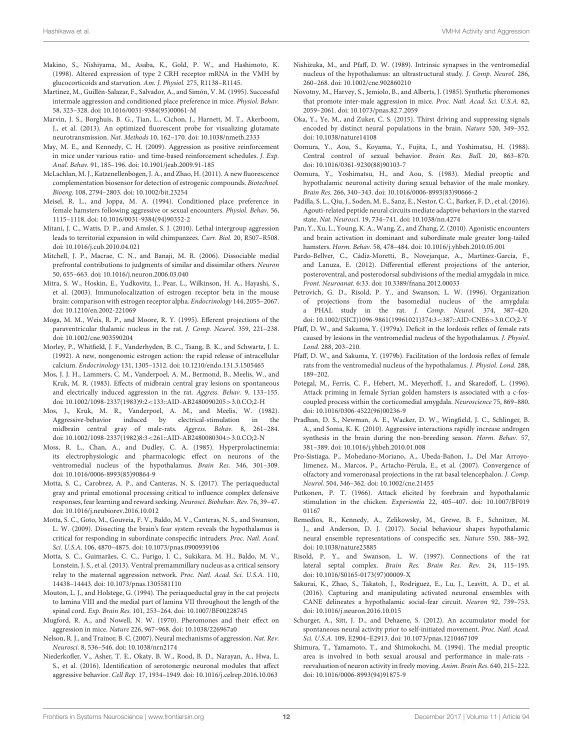- <span id="page-11-28"></span>Makino, S., Nishiyama, M., Asaba, K., Gold, P. W., and Hashimoto, K. (1998). Altered expression of type 2 CRH receptor mRNA in the VMH by glucocorticoids and starvation. Am. J. Physiol. 275, R1138–R1145.
- <span id="page-11-3"></span>Martínez, M., Guillén-Salazar, F., Salvador, A., and Simón, V. M. (1995). Successful intermale aggression and conditioned place preference in mice. Physiol. Behav. 58, 323–328. doi: [10.1016/0031-9384\(95\)00061-M](https://doi.org/10.1016/0031-9384(95)00061-M)
- <span id="page-11-26"></span>Marvin, J. S., Borghuis, B. G., Tian, L., Cichon, J., Harnett, M. T., Akerboom, J., et al. (2013). An optimized fluorescent probe for visualizing glutamate neurotransmission. Nat. Methods 10, 162–170. doi: [10.1038/nmeth.2333](https://doi.org/10.1038/nmeth.2333)
- <span id="page-11-4"></span>May, M. E., and Kennedy, C. H. (2009). Aggression as positive reinforcement in mice under various ratio- and time-based reinforcement schedules. J. Exp. Anal. Behav. 91, 185–196. doi: [10.1901/jeab.2009.91-185](https://doi.org/10.1901/jeab.2009.91-185)
- <span id="page-11-25"></span>McLachlan, M. J., Katzenellenbogen, J. A., and Zhao, H. (2011). A new fluorescence complementation biosensor for detection of estrogenic compounds. Biotechnol. Bioeng. 108, 2794–2803. doi: [10.1002/bit.23254](https://doi.org/10.1002/bit.23254)
- <span id="page-11-2"></span>Meisel, R. L., and Joppa, M. A. (1994). Conditioned place preference in female hamsters following aggressive or sexual encounters. Physiol. Behav. 56, 1115–1118. doi: [10.1016/0031-9384\(94\)90352-2](https://doi.org/10.1016/0031-9384(94)90352-2)
- <span id="page-11-5"></span>Mitani, J. C., Watts, D. P., and Amsler, S. J. (2010). Lethal intergroup aggression leads to territorial expansion in wild chimpanzees. Curr. Biol. 20, R507–R508. doi: [10.1016/j.cub.2010.04.021](https://doi.org/10.1016/j.cub.2010.04.021)
- <span id="page-11-35"></span>Mitchell, J. P., Macrae, C. N., and Banaji, M. R. (2006). Dissociable medial prefrontal contributions to judgments of similar and dissimilar others. Neuron 50, 655–663. doi: [10.1016/j.neuron.2006.03.040](https://doi.org/10.1016/j.neuron.2006.03.040)
- <span id="page-11-27"></span>Mitra, S. W., Hoskin, E., Yudkovitz, J., Pear, L., Wilkinson, H. A., Hayashi, S., et al. (2003). Immunolocalization of estrogen receptor beta in the mouse brain: comparison with estrogen receptor alpha. Endocrinology 144, 2055–2067. doi: [10.1210/en.2002-221069](https://doi.org/10.1210/en.2002-221069)
- <span id="page-11-34"></span>Moga, M. M., Weis, R. P., and Moore, R. Y. (1995). Efferent projections of the paraventricular thalamic nucleus in the rat. J. Comp. Neurol. 359, 221–238. doi: [10.1002/cne.903590204](https://doi.org/10.1002/cne.903590204)
- <span id="page-11-23"></span>Morley, P., Whitfield, J. F., Vanderhyden, B. C., Tsang, B. K., and Schwartz, J. L. (1992). A new, nongenomic estrogen action: the rapid release of intracellular calcium. Endocrinology 131, 1305–1312. doi: [10.1210/endo.131.3.1505465](https://doi.org/10.1210/endo.131.3.1505465)
- <span id="page-11-39"></span>Mos, J. J. H., Lammers, C. M., Vanderpoel, A. M., Bermond, B., Meelis, W., and Kruk, M. R. (1983). Effects of midbrain central gray lesions on spontaneous and electrically induced aggression in the rat. Aggress. Behav. 9, 133–155. doi: [10.1002/1098-2337\(1983\)9:2](https://doi.org/10.1002/1098-2337(1983)9:2<133::AID-AB2480090205>3.0.CO;2-H)<133::AID-AB2480090205>3.0.CO;2-H
- <span id="page-11-38"></span>Mos, J., Kruk, M. R., Vanderpoel, A. M., and Meelis, W. (1982). Aggressive-behavior induced by electrical-stimulation in the midbrain central gray of male-rats. Aggress. Behav. 8, 261–284. doi: [10.1002/1098-2337\(1982\)8:3](https://doi.org/10.1002/1098-2337(1982)8:3<261::AID-AB2480080304>3.0.CO;2-N)<261::AID-AB2480080304>3.0.CO;2-N
- <span id="page-11-22"></span>Moss, R. L., Chan, A., and Dudley, C. A. (1985). Hyperprolactinemia: its electrophysiologic and pharmacologic effect on neurons of the ventromedial nucleus of the hypothalamus. Brain Res. 346, 301–309. doi: [10.1016/0006-8993\(85\)90864-9](https://doi.org/10.1016/0006-8993(85)90864-9)
- <span id="page-11-37"></span>Motta, S. C., Carobrez, A. P., and Canteras, N. S. (2017). The periaqueductal gray and primal emotional processing critical to influence complex defensive responses, fear learning and reward seeking. Neurosci. Biobehav. Rev. 76, 39–47. doi: [10.1016/j.neubiorev.2016.10.012](https://doi.org/10.1016/j.neubiorev.2016.10.012)
- <span id="page-11-8"></span>Motta, S. C., Goto, M., Gouveia, F. V., Baldo, M. V., Canteras, N. S., and Swanson, L. W. (2009). Dissecting the brain's fear system reveals the hypothalamus is critical for responding in subordinate conspecific intruders. Proc. Natl. Acad. Sci. U.S.A. 106, 4870–4875. doi: [10.1073/pnas.0900939106](https://doi.org/10.1073/pnas.0900939106)
- <span id="page-11-21"></span>Motta, S. C., Guimarães, C. C., Furigo, I. C., Sukikara, M. H., Baldo, M. V., Lonstein, J. S., et al. (2013). Ventral premammillary nucleus as a critical sensory relay to the maternal aggression network. Proc. Natl. Acad. Sci. U.S.A. 110, 14438–14443. doi: [10.1073/pnas.1305581110](https://doi.org/10.1073/pnas.1305581110)
- <span id="page-11-36"></span>Mouton, L. J., and Holstege, G. (1994). The periaqueductal gray in the cat projects to lamina VIII and the medial part of lamina VII throughout the length of the spinal cord. Exp. Brain Res. 101, 253–264. doi: [10.1007/BF00228745](https://doi.org/10.1007/BF00228745)
- <span id="page-11-14"></span>Mugford, R. A., and Nowell, N. W. (1970). Pheromones and their effect on aggression in mice. Nature 226, 967–968. doi: [10.1038/226967a0](https://doi.org/10.1038/226967a0)
- <span id="page-11-1"></span>Nelson, R. J., and Trainor, B. C. (2007). Neural mechanisms of aggression. Nat. Rev. Neurosci. 8, 536–546. doi: [10.1038/nrn2174](https://doi.org/10.1038/nrn2174)
- <span id="page-11-40"></span>Niederkofler, V., Asher, T. E., Okaty, B. W., Rood, B. D., Narayan, A., Hwa, L. S., et al. (2016). Identification of serotonergic neuronal modules that affect aggressive behavior. Cell Rep. 17, 1934–1949. doi: [10.1016/j.celrep.2016.10.063](https://doi.org/10.1016/j.celrep.2016.10.063)
- <span id="page-11-32"></span>Nishizuka, M., and Pfaff, D. W. (1989). Intrinsic synapses in the ventromedial nucleus of the hypothalamus: an ultrastructural study. J. Comp. Neurol. 286, 260–268. doi: [10.1002/cne.902860210](https://doi.org/10.1002/cne.902860210)
- <span id="page-11-13"></span>Novotny, M., Harvey, S., Jemiolo, B., and Alberts, J. (1985). Synthetic pheromones that promote inter-male aggression in mice. Proc. Natl. Acad. Sci. U.S.A. 82, 2059–2061. doi: [10.1073/pnas.82.7.2059](https://doi.org/10.1073/pnas.82.7.2059)
- <span id="page-11-12"></span>Oka, Y., Ye, M., and Zuker, C. S. (2015). Thirst driving and suppressing signals encoded by distinct neural populations in the brain. Nature 520, 349–352. doi: [10.1038/nature14108](https://doi.org/10.1038/nature14108)
- <span id="page-11-17"></span>Oomura, Y., Aou, S., Koyama, Y., Fujita, I., and Yoshimatsu, H. (1988). Central control of sexual behavior. Brain Res. Bull. 20, 863–870. doi: [10.1016/0361-9230\(88\)90103-7](https://doi.org/10.1016/0361-9230(88)90103-7)
- <span id="page-11-15"></span>Oomura, Y., Yoshimatsu, H., and Aou, S. (1983). Medial preoptic and hypothalamic neuronal activity during sexual behavior of the male monkey. Brain Res. 266, 340–343. doi: [10.1016/0006-8993\(83\)90666-2](https://doi.org/10.1016/0006-8993(83)90666-2)
- <span id="page-11-30"></span>Padilla, S. L., Qiu, J., Soden, M. E., Sanz, E., Nestor, C. C., Barker, F. D., et al. (2016). Agouti-related peptide neural circuits mediate adaptive behaviors in the starved state. Nat. Neurosci. 19, 734–741. doi: [10.1038/nn.4274](https://doi.org/10.1038/nn.4274)
- <span id="page-11-9"></span>Pan, Y., Xu, L., Young, K. A., Wang, Z., and Zhang, Z. (2010). Agonistic encounters and brain activation in dominant and subordinate male greater long-tailed hamsters. Horm. Behav. 58, 478–484. doi: [10.1016/j.yhbeh.2010.05.001](https://doi.org/10.1016/j.yhbeh.2010.05.001)
- <span id="page-11-20"></span>Pardo-Bellver, C., Cádiz-Moretti, B., Novejarque, A., Martínez-García, F., and Lanuza, E. (2012). Differential efferent projections of the anterior, posteroventral, and posterodorsal subdivisions of the medial amygdala in mice. Front. Neuroanat. 6:33. doi: [10.3389/fnana.2012.00033](https://doi.org/10.3389/fnana.2012.00033)
- <span id="page-11-31"></span>Petrovich, G. D., Risold, P. Y., and Swanson, L. W. (1996). Organization of projections from the basomedial nucleus of the amygdala: a PHAL study in the rat. J. Comp. Neurol. 374, 387–420. doi: [10.1002/\(SICI\)1096-9861\(19961021\)374:3](https://doi.org/10.1002/(SICI)1096-9861(19961021)374:3<387::AID-CNE6>3.0.CO;2-Y)<387::AID-CNE6>3.0.CO;2-Y
- <span id="page-11-6"></span>Pfaff, D. W., and Sakuma, Y. (1979a). Deficit in the lordosis reflex of female rats caused by lesions in the ventromedial nucleus of the hypothalamus. J. Physiol. Lond. 288, 203–210.
- <span id="page-11-7"></span>Pfaff, D. W., and Sakuma, Y. (1979b). Facilitation of the lordosis reflex of female rats from the ventromedial nucleus of the hypothalamus. J. Physiol. Lond. 288, 189–202.
- <span id="page-11-11"></span>Potegal, M., Ferris, C. F., Hebert, M., Meyerhoff, J., and Skaredoff, L. (1996). Attack priming in female Syrian golden hamsters is associated with a c-foscoupled process within the corticomedial amygdala. Neuroscience 75, 869–880. doi: [10.1016/0306-4522\(96\)00236-9](https://doi.org/10.1016/0306-4522(96)00236-9)
- <span id="page-11-24"></span>Pradhan, D. S., Newman, A. E., Wacker, D. W., Wingfield, J. C., Schlinger, B. A., and Soma, K. K. (2010). Aggressive interactions rapidly increase androgen synthesis in the brain during the non-breeding season. Horm. Behav. 57, 381–389. doi: [10.1016/j.yhbeh.2010.01.008](https://doi.org/10.1016/j.yhbeh.2010.01.008)
- <span id="page-11-19"></span>Pro-Sistiaga, P., Mohedano-Moriano, A., Ubeda-Bañon, I., Del Mar Arroyo-Jimenez, M., Marcos, P., Artacho-Pérula, E., et al. (2007). Convergence of olfactory and vomeronasal projections in the rat basal telencephalon. J. Comp. Neurol. 504, 346–362. doi: [10.1002/cne.21455](https://doi.org/10.1002/cne.21455)
- <span id="page-11-0"></span>Putkonen, P. T. (1966). Attack elicited by forebrain and hypothalamic stimulation in the chicken. Experientia [22, 405–407. doi: 10.1007/BF019](https://doi.org/10.1007/BF01901167) 01167
- <span id="page-11-18"></span>Remedios, R., Kennedy, A., Zelikowsky, M., Grewe, B. F., Schnitzer, M. J., and Anderson, D. J. (2017). Social behaviour shapes hypothalamic neural ensemble representations of conspecific sex. Nature 550, 388–392. doi: [10.1038/nature23885](https://doi.org/10.1038/nature23885)
- <span id="page-11-29"></span>Risold, P. Y., and Swanson, L. W. (1997). Connections of the rat lateral septal complex. Brain Res. Brain Res. Rev. 24, 115–195. doi: [10.1016/S0165-0173\(97\)00009-X](https://doi.org/10.1016/S0165-0173(97)00009-X)
- <span id="page-11-10"></span>Sakurai, K., Zhao, S., Takatoh, J., Rodriguez, E., Lu, J., Leavitt, A. D., et al. (2016). Capturing and manipulating activated neuronal ensembles with CANE delineates a hypothalamic social-fear circuit. Neuron 92, 739–753. doi: [10.1016/j.neuron.2016.10.015](https://doi.org/10.1016/j.neuron.2016.10.015)
- <span id="page-11-33"></span>Schurger, A., Sitt, J. D., and Dehaene, S. (2012). An accumulator model for spontaneous neural activity prior to self-initiated movement. Proc. Natl. Acad. Sci. U.S.A. 109, E2904–E2913. doi: [10.1073/pnas.1210467109](https://doi.org/10.1073/pnas.1210467109)
- <span id="page-11-16"></span>Shimura, T., Yamamoto, T., and Shimokochi, M. (1994). The medial preoptic area is involved in both sexual arousal and performance in male-rats reevaluation of neuron activity in freely moving. Anim. Brain Res. 640, 215–222. doi: [10.1016/0006-8993\(94\)91875-9](https://doi.org/10.1016/0006-8993(94)91875-9)